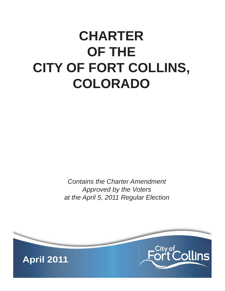# **CHARTER OF THE CITY OF FORT COLLINS, COLORADO**

*Contains the Charter Amendment Approved by the Voters at the April 5, 2011 Regular Election*

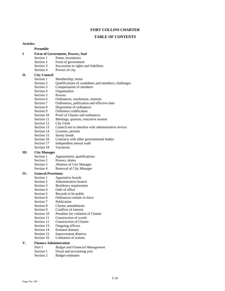#### **FORT COLLINS CHARTER**

#### **TABLE OF CONTENTS**

#### **Articles:**

#### **Preamble**

### **I Form of Government, Powers, Seal**

- Section 1 Name, boundaries
- Section 2 Form of government
- Section 3 Succession to rights and liabilities
- Section 4 Powers of city

# **II.** City Council<br>Section 1

- Section 1 Membership; terms<br>Section 2 Qualifications of can
	- Qualifications of candidates and members; challenges
- Section 3 Compensation of members
- Section 4 Organization
- Section 5 Powers
- Section 6 Ordinances, resolutions, motions<br>Section 7 Ordinances, publication and effect
- Ordinances, publication and effective date
- Section 8 Disposition of ordinances
- Section 9 Ordinance codification
- Section 10 Proof of Charter and ordinances
- Section 11 Meetings, quorum, executive session
- Section 12 City Clerk
- Section 13 Council not to interfere with administrative service<br>Section 14 Licenses, permits
- Licenses, permits
- Section 15 Surety bonds
- Section 16 Contracts with other governmental bodies
- Section 17 Independent annual audit
- Section 18 Vacancies

#### **III. City Manager**

- Section 1 Appointment, qualifications<br>Section 2 Powers, duties
- Powers, duties
- Section 3 Absence of City Manager
- Section 4 Removal of City Manager

#### **IV. General Provisions**

- Section 1 Appointive boards<br>Section 2 Administrative bra
- Administrative branch
- Section 3 Residency requirement
- Section 4 Oath of office
- Section 5 Records to be public
- Section 6 Ordinances remain in force
- Section 7 Publication
- Section 8 Charter amendments
- Section 9 Conflicts of interest
- Section 10 Penalties for violation of Charter
- Section 11 Construction of words
- Section 12 Construction of Charter
- Section 13 Outgoing officers
- Section 14 Eminent domain
- Section 15 Improvement districts
- Section 16 Limitation of actions

#### **V. Finance Administration**

| Part I    | <b>Budget and Financial Management</b> |
|-----------|----------------------------------------|
| Section 1 | Fiscal and accounting year             |
| Section 2 | Budget estimates                       |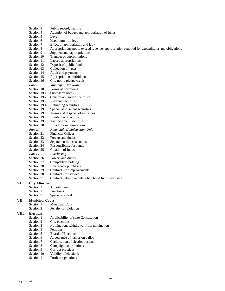- Section 5 Levy Section 6 Maximum mill levy Section 7 Effect of appropriation and levy Section 8 Appropriations not to exceed revenue; appropriation required for expenditures and obligations Section 9 Supplemental appropriations Section 10 Transfer of appropriations<br>Section 11 Lapsed appropriations Lapsed appropriations Section 12 Deposit of public funds Section 13 Collection of taxes Section 14 Audit and payments Section 15 Appropriations forbidden Section 16 City not to pledge credit *Part II Municipal Borrowing*  Section 18 Forms of borrowing Section 19.1 Short-term notes Section 19.2 General obligation securities<br>Section 19.3 Revenue securities Revenue securities Section 19.4 Refunding securities<br>Section 19.5 Special assessment se Special assessment securities Section 19.6 Terms and disposal of securities Section 19.7 Limitation of actions Section 19.8 Tax increment securities Section 20 No additional limitations *Part III Financial Administration Unit*  Section 21 Financial Officer Section 22 Powers and duties Section 23 Separate utilities accounts Section 24 Responsibility for funds<br>Section 25 Creation of funds Creation of funds *Part IV Purchasing*  Section 26 Powers and duties Section 27 Competitive bidding Section 28 Emergency purchases Section 29 Contracts for improvements Section 30 Contracts for service Section 31 Contracts effective only when bond funds available **VI. City Attorney**  Section 1 Appointment Section 2 Functions Section 3 Special counsel **VII. Municipal Court**  Section 1 Municipal Court Section 2 Penalty for violation **VIII. Elections**  Section 1 Applicability of state Constitution Section 2 City elections Section 3 Nomination; withdrawal from nomination Section 4 Petitions Section 5 Board of Elections Section 6 Appearance of names on ballot Section 7 Certification of election results Section 8 Campaign contributions Section 9 Corrupt practices
	- Section 10 Validity of elections
	- Section 11 Further regulations

Section 3 Public record, hearing<br>Section 4 Adoption of budget an

Adoption of budget and appropriation of funds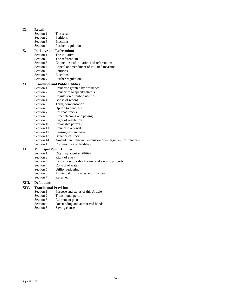# **IX.** Recall Section 1

- The recall
- Section 2 Petitions
- Section 3 Elections
- Section 4 Further regulations

# **X.** Initiative and Referendum<br>Section 1 The initiative

- The initiative
- Section 2 The referendum
- Section 3 Council use of initiative and referendum
- Section 4 Repeal or amendment of initiated measure
- Section 5 Petitions
- Section 6 Elections<br>Section 7 Further re
- Further regulations

#### **XI. Franchises and Public Utilities**

- Section 1 Franchise granted by ordinance
- Section 2 Franchises to specify streets
- Section 3 Regulation of public utilities
- Section 4 Books of record
- Section 5 Term, compensation
- Section 6 Option to purchase
- Section 7 Railroad tracks
- Section 8 Street cleaning and paving
- Section 9 Right of regulation
- Section 10 Revocable permits
- Section 11 Franchise renewal
- Section 12 Leasing of franchises
- Section 13 Issuance of stock
- Section 14 Amendment, renewal, extension or enlargement of franchise
- Section 15 Common use of facilities

#### **XII. Municipal Public Utilities**

- Section 1 City may acquire utilities<br>Section 2 Right of entry
- Right of entry
- Section 3 Restriction on sale of water and electric property<br>Section 4 Control of water
- Control of water
- Section 5 Utility budgeting
- Section 6 Municipal utility rates and finances
- Section 7 Reserved

#### **XIII. Definitions**

#### **XIV. Transitional Provisions**

- Section 1 Purpose and status of this Article
- Section 2 Transitional period
- Section 3 Retirement plans
- Section 4 Outstanding and authorized bonds
- Section 5 Saving clause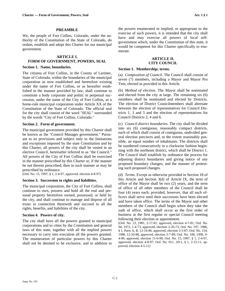We, the people of Fort Collins, Colorado, under the authority of the Constitution of the State of Colorado, do ordain, establish and adopt this Charter for our municipal government.

#### **ARTICLE I. FORM OF GOVERNMENT, POWERS, SEAL**

#### **Section 1. Name, boundaries.**

The citizens of Fort Collins, in the County of Larimer, State of Colorado, within the boundaries of the municipal corporation as now established and heretofore existing under the name of Fort Collins, or as hereafter established in the manner provided by law, shall continue to constitute a body corporate and politic in perpetual succession, under the name of the City of Fort Collins, as a home-rule municipal corporation under Article XX of the Constitution of the State of Colorado. The official seal for the city shall consist of the word "SEAL" surrounded by the words "City of Fort Collins, Colorado."

# **Section 2. Form of government.**

The municipal government provided by this Charter shall be known as the "Council Manager government." Pursuant to its provisions and subject only to the limitations and exceptions imposed by the state Constitution and by this Charter, all powers of the city shall be vested in an elective Council, hereinafter referred to as "the Council." All powers of the City of Fort Collins shall be exercised in the manner prescribed by this Charter or, if the manner be not therein prescribed, then in such manner as may be prescribed by ordinance.

(Ord. No. 15, 1997, § 1, 2-4-97, approved, election 4-8-97)

#### **Section 3. Succession to rights and liabilities.**

The municipal corporation, the City of Fort Collins, shall continue to own, possess and hold all the real and personal property heretofore owned, possessed, or held by the city, and shall continue to manage and dispose of all trusts in connection therewith and succeed to all the rights, benefits, and liabilities of the city.

#### **Section 4. Powers of city.**

The city shall have all the powers granted to municipal corporations and to cities by the Constitution and general laws of this state, together with all the implied powers necessary to carry into execution all the powers granted. The enumeration of particular powers by this Charter shall not be deemed to be exclusive, and in addition to

the powers enumerated or implied, or appropriate to the exercise of such powers, it is intended that the city shall have and may exercise all powers of local selfgovernment which, under the Constitution of this state, it would be competent for this Charter specifically to enumerate.

### **ARTICLE II. CITY COUNCIL**

#### **Section 1. Membership; terms.**

(a) *Composition of Council.* The Council shall consist of seven (7) members, including a Mayor and Mayor Pro Tem, elected as provided in this Article.

(b) *Method of election*. The Mayor shall be nominated and elected from the city at large. The remaining six (6) members shall be nominated and elected by Districts. The election of District Councilmembers shall alternate between the election of representatives for Council Districts 1, 3 and 5 and the election of representatives for Council Districts 2, 4 and 6.

(c) *Council district boundaries*. The city shall be divided into six (6) contiguous, reasonably compact districts, each of which shall consist of contiguous, undivided general election precincts and, to the extent reasonably possible, an equal number of inhabitants. The districts shall be numbered consecutively in a clockwise fashion beginning with the northeast district, which shall be District 1. The Council shall establish by ordinance the process for adjusting district boundaries and giving notice of any proposed boundary changes, and the manner of protesting such proposed changes.

(d) *Terms*. Except as otherwise provided in Section 18 of this Article and Section 3(d) of Article IX, the term of office of the Mayor shall be two (2) years, and the term of office of all other members of the Council shall be four (4) years each; provided, however, that all such officers shall serve until their successors have been elected and have taken office. The terms of the Mayor and other members of the Council shall begin when they take the oath of office, which shall occur as the first order of business at the first regular or special Council meeting following their election or appointment.

(Ord. No. 23, 1981, 2-17-81, approved, election 4-7-81; Ord. No. 94, 1972, 1-4-73, approved, election 2-20-73; Ord. No. 197, 1986, § 1, Parts A, B, 12-16-86, approved, election 3-3-87; Ord. No. 154, 1988, 12-20-88, approved, election 3-7-89; Ord. No. 100, 1990, 9- 4-90, approved, election 11-6-90; Ord. No. 15, 1997, § 1, 2-4-97, approved, election 4-8-97; Ord. No. 011, 2011, § 1, 2-15-11, approved, election 4-5-11)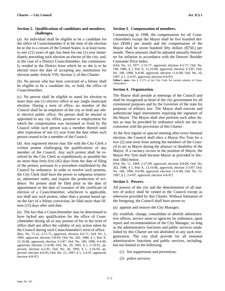# **Section 2. Qualifications of candidates and members; challenges.**

(a) An individual shall be eligible to be a candidate for the office of Councilmember if at the time of the election he or she is a citizen of the United States; is at least twenty-one (21) years of age; has been for one (1) year immediately preceding such election an elector of the city; and, in the case of a District Councilmember, has continuously resided in the District from which he or she is to be elected since the date of accepting any nomination for election under Article VIII, Section 3, of this Charter.

(b) No person who has been convicted of a felony shall be eligible to be a candidate for, or hold, the office of Councilmember.

(c) No person shall be eligible to stand for election to more than one (1) elective office at any single municipal election. During a term of office, no member of the Council shall be an employee of the city or hold any other elective public office. No person shall be elected or appointed to any city office, position or employment for which the compensation was increased or fixed by the Council while such person was a member thereof until after expiration of one (1) year from the date when such person ceased to be a member of the Council.

(d) Any registered elector may file with the City Clerk a written protest challenging the qualifications of any member of the Council. Any such protest shall be resolved by the City Clerk as expeditiously as possible but no more than forty-five (45) days from the date of filing of the protest, pursuant to a procedure established by the Council by ordinance. In order to resolve such protests, the City Clerk shall have the power to subpoena witnesses, administer oaths, and require the production of evidence. No protest shall be filed prior to the date of appointment or the date of issuance of the certificate of election of a Councilmember, whichever is applicable, nor shall any such protest, other than a protest based upon the fact of a felony conviction, be filed more than fifteen (15) days after said date.

(e) The fact that a Councilmember may be determined to have lacked any qualification for the office of Councilmember during all or any portion of his or her term of office shall not affect the validity of any action taken by the Council during such Councilmember's term of office. (Res. No. 71-12, 2-11-71, approved, election 4-6-71; Ord. No. 5, 1983, approved, election 3-8-83; Ord. No. 202, 1986, § 1, Part X, 12-16-86, approved, election 3-3-87; Ord. No. 100, 1990, 9-4-90, approved, election 11-6-90; Ord. No. 20, 1991, § 1, 2-19-91, approved, election 4-2-91; Ord. No. 20, 1993, § 1, 2-16-93, approved, election 4-6-93; Ord. No. 15, 1997, § 1, 2-4-97, approved, election 4-8-97)

#### **Section 3. Compensation of members.**

Commencing in 1998, the compensation for all Councilmembers except the Mayor shall be five hundred dollars (\$500.) per month and the compensation of the Mayor shall be seven hundred fifty dollars (\$750.) per month. These amounts shall be adjusted annually thereafter for inflation in accordance with the Denver/ Boulder Consumer Price Index.

(Ord. No. 12, 1977, 2-15-77, approved, election 4-5-77; Ord. No. 198, 1986, § 1, Part A, 12-16-86, approved, election 3-3-87; Ord. No. 100, 1990, 9-4-90, approved, election 11-6-90; Ord. No. 16, 1997, § 1, 2-4-97, approved, election 4-8-97)

**Editor's note**—See § 2-575 of the City Code for current salaries of Councilmembers.

# **Section 4. Organization.**

The Mayor shall preside at meetings of the Council and shall be recognized as head of the city government for all ceremonial purposes and by the Governor of the state for purposes of military law. The Mayor shall execute and authenticate legal instruments requiring the signature of the Mayor. The Mayor shall also perform such other duties as may be provided by ordinance which are not inconsistent with the provisions of this Charter.

At the first regular or special meeting after every biennial election, the Council shall elect a Mayor Pro Tem for a two (2) year term from among the members of the Council to act as Mayor during the absence or disability of the Mayor. If a vacancy occurs in the position of Mayor, the Mayor Pro Tem shall become Mayor as provided in Section 18(b) below.

(Ord. No. 11, 1969, 2-27-69, approved, election 4-8-69; Ord. No. 202, 1986, § 1, Part X, 12-16-86, approved, election 3-3-87; Ord. No. 100, 1990, 9-4-90, approved, election 11-6-90; Ord. No. 15, 1997, § 1, 2-4-97, approved, election 4-8-97)

# **Section 5. Powers.**

All powers of the city and the determination of all matters of policy shall be vested in the Council except as otherwise provided by this Charter. Without limitation of the foregoing, the Council shall have power to:

(a) appoint and remove the City Manager;

(b) establish, change, consolidate or abolish administrative offices, service areas or agencies by ordinance, upon report and recommendation of the City Manager, so long as the administrative functions and public services established by this Charter are not abolished in any such reorganization. The city shall provide for all essential administrative functions and public services, including, but not limited to the following:

- (1) fire suppression and prevention;
- (2) police services;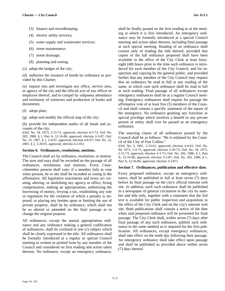- (3) finance and recordkeeping;
- (4) electric utility services;
- (5) water supply and wastewater services;
- (6) street maintenance;
- (7) storm drainage;
- (8) planning and zoning.
- (c) adopt the budget of the city;

(d) authorize the issuance of bonds by ordinance as provided by this Charter;

(e) inquire into and investigate any office, service area, or agency of the city and the official acts of any officer or employee thereof, and to compel by subpoena attendance and testimony of witnesses and production of books and documents;

- (f) adopt plats;
- (g) adopt and modify the official map of the city;

(h) provide for independent audits of all funds and accounts of the city.

(Ord. No. 18, 1973, 2-15-73, approved, election 4-3-73; Ord. No. 202, 1986, § 1, Part A, 12-16-86, approved, election 3-3-87; Ord. No. 15, 1997, § 1, 2-4-97, approved, election 4-8-97; Ord. No. 22, 2001, § 2, 2-20-01, approved, election 4-3-01)

#### **Section 6. Ordinances, resolutions, motions.**

The Council shall act by ordinance, resolution, or motion. The ayes and nays shall be recorded on the passage of all ordinances, resolutions, and motions. Every Councilmember present shall vote; if a member fails to vote when present, he or she shall be recorded as voting in the affirmative. All legislative enactments and every act creating, altering, or abolishing any agency or office, fixing compensation, making an appropriation, authorizing the borrowing of money, levying a tax, establishing any rule or regulation for the violation of which a penalty is imposed, or placing any burden upon or limiting the use of private property, shall be by ordinance, which shall not be so altered or amended on the final passage as to change the original purpose.

All ordinances, except the annual appropriation ordinance and any ordinance making a general codification of ordinances, shall be confined to one (1) subject which shall be clearly expressed in the title. All ordinances shall be formally introduced at a regular or special Council meeting in written or printed form by any member of the Council and considered on first reading and action taken thereon. No ordinance, except an emergency ordinance,

shall be finally passed on the first reading or at the meeting at which it is first introduced. An emergency ordinance may be formally introduced at a special Council meeting and action taken thereon, including final passage at such special meeting. Reading of an ordinance shall consist only of reading the title thereof, provided that copies of the full ordinance proposed shall have been available in the office of the City Clerk at least fortyeight (48) hours prior to the time such ordinance is introduced for each member of the City Council, and for inspection and copying by the general public, and provided further that any member of the City Council may request that an ordinance be read in full at any reading of the same, in which case such ordinance shall be read in full at such reading. Final passage of all ordinances except emergency ordinances shall be at a regular Council meeting. Emergency ordinances shall require for passage the affirmative vote of at least five (5) members of the Council and shall contain a specific statement of the nature of the emergency. No ordinance granting any franchise or special privilege which involves a benefit to any private person or entity shall ever be passed as an emergency ordinance.

The enacting clause of all ordinances passed by the Council shall be as follows: "Be it ordained by the Council of the City of Fort Collins."

(Ord. No. 3, 1961, 2-23-61, approved, election 4-4-61; Ord. No. 94, 1972, 1-4-73, approved, election 2-20-73; Ord. No. 18, 1973, 2-15-73, approved, election 4-3-73; Ord. No. 202, 1986, § 1, Part X, 12-16-86, approved, election 3-3-87; Ord. No. 203, 1986, § 1, Part A, 12-16-86, approved, election 3-3-87)

#### **Section 7. Ordinances, publication and effective date.**

Every proposed ordinance, except an emergency ordinance, shall be published in full at least seven (7) days before its final passage on the city's official internet web site. In addition, each such ordinance shall be published in a newspaper of general circulation in the city by number and title only, together with a statement that the full text is available for public inspection and acquisition in the office of the City Clerk and on the city's internet web site. Both publications shall contain a notice of the date when said proposed ordinance will be presented for final passage. The City Clerk shall, within seven (7) days after final passage of any such ordinance, publish such ordinance in the same method as is required for the first publication. All ordinances, except emergency ordinances, shall take effect on the tenth day following their passage. An emergency ordinance shall take effect upon passage and shall be published as provided above within seven (7) days thereof.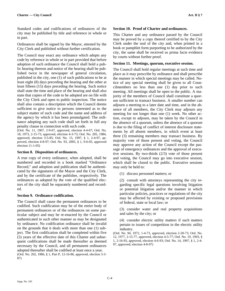Standard codes and codifications of ordinances of the city may be published by title and reference in whole or in part.

Ordinances shall be signed by the Mayor, attested by the City Clerk and published without further certification.

The Council may enact any ordinance which adopts any code by reference in whole or in part provided that before adoption of such ordinance the Council shall hold a public hearing thereon and notice of the hearing shall be published twice in the newspaper of general circulation, published in the city, one (1) of such publications to be at least eight (8) days preceding the hearing and the other at least fifteen (15) days preceding the hearing. Such notice shall state the time and place of the hearing and shall also state that copies of the code to be adopted are on file with the City Clerk and open to public inspection. The notice shall also contain a description which the Council deems sufficient to give notice to persons interested as to the subject matter of such code and the name and address of the agency by which it has been promulgated. The ordinance adopting any such code shall set forth in full any penalty clause in connection with such code.

(Ord. No. 11, 1967, 2-9-67, approved, election 4-4-67; Ord. No. 18, 1973, 2-15-73, approved, election 4-3-73; Ord. No. 205, 1984, approved, election 3-5-85; Ord. No. 15, 1997, § 1, 2-4-97, approved, election 4-8-97; Ord. No. 93, 2005, § 1, 9-6-05, approved election 11-1-05)

#### **Section 8. Disposition of ordinances.**

A true copy of every ordinance, when adopted, shall be numbered and recorded in a book marked "Ordinance Record," and adoption and publication shall be authenticated by the signatures of the Mayor and the City Clerk, and by the certificate of the publisher, respectively. The ordinances as adopted by the vote of the qualified electors of the city shall be separately numbered and recorded.

#### **Section 9. Ordinance codification.**

The Council shall cause the permanent ordinances to be codified. Such codification may be of the entire body of permanent ordinances or of the ordinances on some particular subject and may be re-enacted by the Council or authenticated in such other manner as may be designated by ordinance. No codification ordinance shall be invalid on the grounds that it deals with more than one (1) subject. The first codification shall be completed within five (5) years of the effective date of this Charter and subsequent codifications shall be made thereafter as deemed necessary by the Council, and all permanent ordinances adopted thereafter shall be codified at least once a year. (Ord. No. 202, 1986, § 1, Part P, 12-16-86, approved, election 3-3- 87)

#### **Section 10. Proof of Charter and ordinances.**

This Charter and any ordinance passed by the Council may be proved by a copy thereof certified to by the City Clerk under the seal of the city and, when printed in a book or pamphlet form purporting to be authorized by the city, the same shall be received as prima facie evidence by courts without further proof.

# **Section 11. Meetings, quorum, executive session.**

The Council shall hold regular meetings at such time and place as it may prescribe by ordinance and shall prescribe the manner in which special meetings may be called. Notice of any special meeting shall be given to all Councilmembers no less than one (1) day prior to such meeting. All meetings shall be open to the public. A majority of the members of Council shall constitute a quorum sufficient to transact business. A smaller number can adjourn a meeting to a later date and time, and in the absence of all members, the City Clerk may adjourn any meeting for not longer than one (1) week. No other action, except to adjourn, may be taken by the Council in the absence of a quorum, unless the absence of a quorum is due to the filing of conflict of interest disclosure statements by all absent members, in which event at least three (3) remaining members may transact business. By majority vote of those present and voting, the Council may approve any action of the Council except the passage of emergency ordinances and the approval of executive sessions. By two-thirds (2/3) vote of those present and voting, the Council may go into executive session, which shall be closed to the public. Executive sessions may only be held to:

(1) discuss personnel matters; or

(2) consult with attorneys representing the city regarding specific legal questions involving litigation or potential litigation and/or the manner in which particular policies, practices or regulations of the city may be affected by existing or proposed provisions of federal, state or local law; or

(3) consider water and real property acquisitions and sales by the city; or

(4) consider electric utility matters if such matters pertain to issues of competition in the electric utility industry.

(Ord. No. 94, 1972, 1-4-73, approved, election 2-20-73; Ord. No. 12, 1977, 2-15-77, approved, election 4-5-77; Ord. No. 19, 1993, § 1, 2-16-93, approved, election 4-6-93; Ord. No. 14, 1997, § 1, 2-4- 97, approved, election 4-8-97)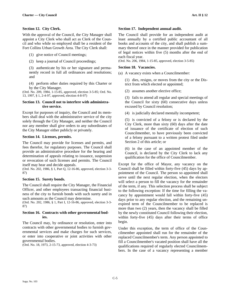### **Section 12. City Clerk.**

With the approval of the Council, the City Manager shall appoint a City Clerk who shall act as Clerk of the Council and who while so employed shall be a resident of the Fort Collins Urban Growth Area. The City Clerk shall:

(1) give notice of Council meetings;

(2) keep a journal of Council proceedings;

(3) authenticate by his or her signature and permanently record in full all ordinances and resolutions; and

(4) perform other duties required by this Charter or by the City Manager.

(Ord. No. 209, 1984, 1-15-85, approved, election 3-5-85; Ord. No. 13, 1997, § 1, 2-4-97, approved, election 4-8-97)

# **Section 13. Council not to interfere with administrative service.**

Except for purposes of inquiry, the Council and its members shall deal with the administrative service of the city solely through the City Manager, and neither the Council nor any member shall give orders to any subordinates of the City Manager either publicly or privately.

#### **Section 14. Licenses, permits.**

The Council may provide for licenses and permits, and fees therefor, for regulatory purposes. The Council shall provide an administrative procedure for the hearing and determination of appeals relating to issuance, suspension or revocation of such licenses and permits. The Council itself may hear and decide appeals.

(Ord. No. 202, 1986, § 1, Part Q, 12-16-86, approved, election 3-3- 87)

#### **Section 15. Surety bonds.**

The Council shall require the City Manager, the Financial Officer, and other employees transacting financial business of the city to furnish bonds with such surety and in such amounts as the Council may determine.

(Ord. No. 202, 1986, § 1, Part I, 12-16-86, approved, election 3-3- 87)

#### **Section 16. Contracts with other governmental bodies.**

The Council may, by ordinance or resolution, enter into contracts with other governmental bodies to furnish governmental services and make charges for such services, or enter into cooperative or joint activities with other governmental bodies.

(Ord. No. 18, 1973, 2-15-73, approved, election 4-3-73)

#### **Section 17. Independent annual audit.**

The Council shall provide for an independent audit at least annually by a certified public accountant of all books and accounts of the city, and shall publish a summary thereof once in the manner provided for publication of legal notices within five (5) months after the end of each fiscal year.

(Ord. No. 206, 1984, 1-15-85, approved, election 3-5-85)

# **Section 18. Vacancies.**

(a) A vacancy exists when a Councilmember:

(1) dies, resigns, or moves from the city or the District from which elected or appointed;

(2) assumes another elective office;

(3) fails to attend all regular and special meetings of the Council for sixty (60) consecutive days unless excused by Council resolution;

(4) is judicially declared mentally incompetent;

(5) is convicted of a felony or is declared by the City Clerk, more than sixty (60) days after the date of issuance of the certificate of election of such Councilmember, to have previously been convicted of a felony pursuant to a written protest filed under Section 2 of this article; or

(6) in the case of an appointed member of the Council, is declared by the City Clerk to lack any qualification for the office of Councilmember.

Except for the office of Mayor, any vacancy on the Council shall be filled within forty-five (45) days by appointment of the Council. The person so appointed shall serve until the next regular election, when the electors will select a person to fill the vacancy for the remainder of the term, if any. This selection process shall be subject to the following exception: If the time for filling the vacancy by appointment would fall within forty-five (45) days prior to any regular election, and the remaining unexpired term of the Councilmember to be replaced is more than two (2) years, then the vacancy shall be filled by the newly constituted Council following their election, within forty-five (45) days after their terms of office begin.

Under this exception, the term of office of the Councilmember appointed shall run for the remainder of the replaced Councilmember's term. Any person appointed to fill a Councilmember's vacated position shall have all the qualifications required of regularly elected Councilmembers. In the case of a vacancy representing a member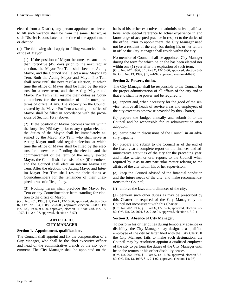elected from a District, any person appointed or elected to fill such vacancy shall be from the same District, as such District is constituted at the time of the appointment or election.

(b) The following shall apply to filling vacancies in the office of Mayor:

(1) If the position of Mayor becomes vacant more than forty-five (45) days prior to the next regular election, the Mayor Pro Tem shall become Acting Mayor, and the Council shall elect a new Mayor Pro Tem. Both the Acting Mayor and Mayor Pro Tem shall serve until the next regular election, at which time the office of Mayor shall be filled by the electors for a new term, and the Acting Mayor and Mayor Pro Tem shall resume their duties as Councilmembers for the remainder of their unexpired terms of office, if any. The vacancy on the Council created by the Mayor Pro Tem assuming the office of Mayor shall be filled in accordance with the provisions of Section 18(a) above.

(2) If the position of Mayor becomes vacant within the forty-five (45) days prior to any regular election, the duties of the Mayor shall be immediately assumed by the Mayor Pro Tem, who shall serve as Acting Mayor until said regular election, at which time the office of Mayor shall be filled by the electors for a new term. Pending the election and the commencement of the term of the newly elected Mayor, the Council shall consist of six (6) members, and the Council shall elect an interim Mayor Pro Tem. After the election, the Acting Mayor and Interim Mayor Pro Tem shall resume their duties as Councilmembers for the remainder of their unexpired terms of office, if any.

(3) Nothing herein shall preclude the Mayor Pro Tem or any Councilmember from standing for election to the office of Mayor.

(Ord. No. 201, 1986, § 1, Part L, 12-16-86, approved, election 3-3- 87; Ord. No. 154, 1988, 12-20-88, approved, election 3-7-89; Ord. No. 100, 1990, 9-4-90, approved, election 11-6-90; Ord. No. 15, 1997, § 1, 2-4-97, approved, election 4-8-97)

# **ARTICLE III. CITY MANAGER**

#### **Section 1. Appointment, qualifications.**

The Council shall appoint and fix the compensation of a City Manager, who shall be the chief executive officer and head of the administrative branch of the city government. The City Manager shall be appointed on the

basis of his or her executive and administrative qualifications, with special reference to actual experience in and knowledge of accepted practice in respect to the duties of the office. Prior to appointment, the City Manager need not be a resident of the city, but during his or her tenure in office the City Manager shall reside within the city.

No member of Council shall be appointed City Manager during the term for which he or she has been elected nor within one (1) year after the expiration of such term. (Ord. No. 202, 1986, § 1, Part X, 12-16-86, approved, election 3-3- 87; Ord. No. 13, 1997, § 1, 2-4-97, approved, election 4-8-97)

#### **Section 2. Powers, duties.**

The City Manager shall be responsible to the Council for the proper administration of all affairs of the city and to that end shall have power and be required to:

(a) appoint and, when necessary for the good of the service, remove all heads of service areas and employees of the city except as otherwise provided by this Charter;

(b) prepare the budget annually and submit it to the Council and be responsible for its administration after adoption;

(c) participate in discussions of the Council in an advisory capacity;

(d) prepare and submit to the Council as of the end of the fiscal year a complete report on the finances and administrative activities of the city for the preceding year, and make written or oral reports to the Council when required by it as to any particular matter relating to the affairs of the city within his or her supervision;

(e) keep the Council advised of the financial condition and the future needs of the city, and make recommendations to the Council;

(f) enforce the laws and ordinances of the city;

(g) perform such other duties as may be prescribed by this Charter or required of the City Manager by the Council not inconsistent with this Charter.

(Ord. No. 202, 1986, § 1, Part X, 12-16-86, approved, election 3-3- 87; Ord. No. 22, 2001, § 2, 2-20-01, approved, election 4-3-01)

#### **Section 3. Absence of City Manager.**

To perform his or her duties during temporary absence or disability, the City Manager may designate a qualified employee of the city by letter filed with the City Clerk. If the City Manager fails to make such designation, the Council may by resolution appoint a qualified employee of the city to perform the duties of the City Manager until he or she returns or his or her disability ceases.

(Ord. No. 202, 1986, § 1, Part X, 12-16-86, approved, election 3-3- 87; Ord. No. 13, 1997, § 1, 2-4-97, approved, election 4-8-97)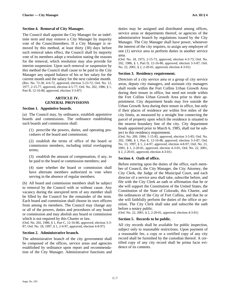#### **Section 4. Removal of City Manager.**

The Council shall appoint the City Manager for an indefinite term and may remove a City Manager by majority vote of the Councilmembers. If a City Manager is removed by this method, at least thirty (30) days before such removal takes effect, the Council shall by majority vote of its members adopt a resolution stating the reasons for the removal, which resolution may also provide for interim suspension. Upon such removal or suspension by this method the Council shall cause to be paid to the City Manager any unpaid balance of his or her salary for the current month and the salary for the next calendar month. (Res. No. 72-30, 4-6-72, approved, election 5-23-72; Ord. No. 12, 1977, 2-15-77, approved, election 4-5-77; Ord. No. 202, 1986, § 1, Part B, 12-16-86, approved, election 3-3-87)

# **ARTICLE IV. GENERAL PROVISIONS**

#### **Section 1. Appointive boards.**

(a) The Council may, by ordinance, establish appointive boards and commissions. The ordinance establishing such boards and commissions shall:

(1) prescribe the powers, duties, and operating procedures of the board and commission;

(2) establish the terms of office of the board or commission members, including initial overlapping terms;

(3) establish the amount of compensation, if any, to be paid to the board or commission members; and

(4) state whether the board or commission shall have alternate members authorized to vote when serving in the absence of regular members.

(b) All board and commission members shall be subject to removal by the Council with or without cause. Any vacancy during the unexpired term of any member shall be filled by the Council for the remainder of the term. Each board and commission shall choose its own officers from among its members. The Council may change any or all of the powers, duties and procedures of any board or commission and may abolish any board or commission which is not required by this Charter or law.

(Ord. No. 202, 1986, § 1, Part C, 12-16-86, approved, election 3-3- 87; Ord. No. 18, 1997, § 1, 2-4-97, approved, election 4-8-97)

#### **Section 2. Administrative branch.**

The administrative branch of the city government shall be composed of the offices, service areas and agencies established by ordinance upon report and recommendation of the City Manager. Administrative functions and

duties may be assigned and distributed among offices, service areas or departments thereof, or agencies of the administrative branch by regulations issued by the City Manager. The City Manager shall have power, whenever the interest of the city requires, to assign any employee of one (1) service area to perform duties in another service area.

(Ord. No. 18, 1973, 2-15-73, approved, election 4-3-73; Ord. No. 202, 1986, § 1, Part D, 12-16-86, approved, election 3-3-87; Ord. No. 22, 2001, § 2, 2-20-01, approved, election 4-3-01)

#### **Section 3. Residency requirement.**

Directors of a city service area or a group of city service areas, deputy city managers, and assistant city managers shall reside within the Fort Collins Urban Growth Area during their tenure in office, but need not reside within the Fort Collins Urban Growth Area prior to their appointment. City department heads may live outside the Urban Growth Area during their tenure in office, but only if their places of residence are within five miles of the city limits, as measured by a straight line connecting the parcel of property upon which the residence is situated to the nearest boundary line of the city. City department heads appointed prior to March 6, 1985, shall not be subject to this residency requirement.

(Ord. No. 209, 1984, 1-15-85, approved, election 3-5-85; Ord. No. 202, 1986, § 1, Part E, 12-16-86, approved, election 3-3-87; Ord. No. 13, 1997, § 1, 2-4-97, approved, election 4-8-97; Ord. No. 21, 2001, § 1, 2-20-01, approved, election 4-3-01; Ord. No. 22, 2001, § 2, 2-20-01, approved, election 4-3-01)

#### **Section 4. Oath of office.**

Before entering upon the duties of the office, each member of Council, the City Manager, the City Attorney, the City Clerk, the Judge of the Municipal Court, and each director of a service area shall take, subscribe before, and file with the City Clerk an oath or affirmation that he or she will support the Constitution of the United States, the Constitution of the State of Colorado, this Charter, and the ordinances of the City of Fort Collins, and that he or she will faithfully perform the duties of the office or position. The City Clerk shall take and subscribe the oath before a notary public.

(Ord. No. 22, 2001, § 2, 2-20-01, approved, election 4-3-01)

#### **Section 5. Records to be public.**

All city records shall be available for public inspection, subject only to reasonable restrictions. Upon payment of a reasonable fee, a copy or a certified copy of any city record shall be furnished by the custodian thereof. A certified copy of any city record shall be prima facie evidence of its contents.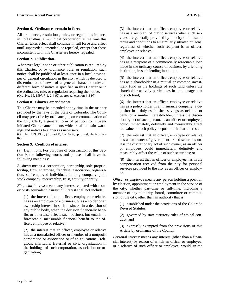# **Section 6. Ordinances remain in force.**

All ordinances, resolutions, rules, or regulations in force in Fort Collins, a municipal corporation, at the time this Charter takes effect shall continue in full force and effect until superseded, amended, or repealed, except that those inconsistent with this Charter are hereby repealed.

# **Section 7. Publication.**

Whenever legal notice or other publication is required by this Charter, or by ordinance, rule, or regulation, such notice shall be published at least once in a local newspaper of general circulation in the city, which is devoted to dissemination of news of a general character, unless a different form of notice is specified in this Charter or in the ordinance, rule, or regulation requiring the notice. (Ord. No. 19, 1997, § 1, 2-4-97, approved, election 4-8-97)

# **Section 8. Charter amendments.**

This Charter may be amended at any time in the manner provided by the laws of the State of Colorado. The Council may prescribe by ordinance, upon recommendation of the City Clerk, a general form of petition for citizeninitiated Charter amendments which shall contain warnings and notices to signers as necessary.

(Ord. No. 199, 1986, § 1, Part D, 12-16-86, approved, election 3-3- 87)

# **Section 9. Conflicts of interest.**

(a) *Definitions*. For purposes of construction of this Section 9, the following words and phrases shall have the following meanings:

*Business* means a corporation, partnership, sole proprietorship, firm, enterprise, franchise, association, organization, self-employed individual, holding company, joint stock company, receivership, trust, activity or entity.

*Financial interest* means any interest equated with money or its equivalent. *Financial interest* shall not include:

(1) the interest that an officer, employee or relative has as an employee of a business, or as a holder of an ownership interest in such business, in a decision of any public body, when the decision financially benefits or otherwise affects such business but entails no foreseeable, measurable financial benefit to the officer, employee or relative;

(2) the interest that an officer, employee or relative has as a nonsalaried officer or member of a nonprofit corporation or association or of an educational, religious, charitable, fraternal or civic organization in the holdings of such corporation, association or organization;

(3) the interest that an officer, employee or relative has as a recipient of public services when such services are generally provided by the city on the same terms and conditions to all similarly situated citizens, regardless of whether such recipient is an officer, employee or relative;

(4) the interest that an officer, employee or relative has as a recipient of a commercially reasonable loan made in the ordinary course of business by a lending institution, in such lending institution;

(5) the interest that an officer, employee or relative has as a shareholder in a mutual or common investment fund in the holdings of such fund unless the shareholder actively participates in the management of such fund;

(6) the interest that an officer, employee or relative has as a policyholder in an insurance company, a depositor in a duly established savings association or bank, or a similar interest-holder, unless the discretionary act of such person, as an officer or employee, could immediately, definitely and measurably affect the value of such policy, deposit or similar interest;

(7) the interest that an officer, employee or relative has as an owner of government-issued securities unless the discretionary act of such owner, as an officer or employee, could immediately, definitely and measurably affect the value of such securities; or

(8) the interest that an officer or employee has in the compensation received from the city for personal services provided to the city as an officer or employee.

*Officer or employee* means any person holding a position by election, appointment or employment in the service of the city, whether part-time or full-time, including a member of any authority, board, committee or commission of the city, other than an authority that is:

(1) established under the provisions of the Colorado Revised Statutes;

(2) governed by state statutory rules of ethical conduct; and

(3) expressly exempted from the provisions of this Article by ordinance of the Council.

*Personal interest* means any interest (other than a financial interest) by reason of which an officer or employee, or a relative of such officer or employee, would, in the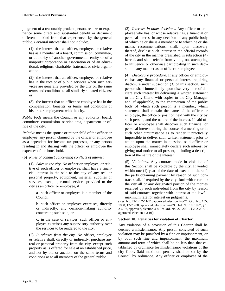judgment of a reasonably prudent person, realize or experience some direct and substantial benefit or detriment different in kind from that experienced by the general public. *Personal interest* shall not include:.

(1) the interest that an officer, employee or relative has as a member of a board, commission, committee, or authority of another governmental entity or of a nonprofit corporation or association or of an educational, religious, charitable, fraternal, or civic organization;

(2) the interest that an officer, employee or relative has in the receipt of public services when such services are generally provided by the city on the same terms and conditions to all similarly situated citizens; or

(3) the interest that an officer or employee has in the compensation, benefits, or terms and conditions of his or her employment with the city.

*Public body* means the Council or any authority, board, committee, commission, service area, department or office of the city.

*Relative* means the spouse or minor child of the officer or employee, any person claimed by the officer or employee as a dependent for income tax purposes, or any person residing in and sharing with the officer or employee the expenses of the household.

(b) *Rules of conduct concerning conflicts of interest*.

(1) *Sales to the city*. No officer or employee, or relative of such officer or employee, shall have a financial interest in the sale to the city of any real or personal property, equipment, material, supplies or services, except personal services provided to the city as an officer or employee, if:

a. such officer or employee is a member of the Council;

b. such officer or employee exercises, directly or indirectly, any decision-making authority concerning such sale; or

c. in the case of services, such officer or employee exercises any supervisory authority over the services to be rendered to the city.

(2) *Purchases from the city*. No officer, employee or relative shall, directly or indirectly, purchase any real or personal property from the city, except such property as is offered for sale at an established price, and not by bid or auction, on the same terms and conditions as to all members of the general public.

(3) *Interests in other decisions*. Any officer or employee who has, or whose relative has, a financial or personal interest in any decision of any public body of which he or she is a member or to which he or she makes recommendations, shall, upon discovery thereof, disclose such interest in the official records of the city in the manner prescribed in subsection (4) hereof, and shall refrain from voting on, attempting to influence, or otherwise participating in such decision in any manner as an officer or employee.

(4) *Disclosure procedure*. If any officer or employee has any financial or personal interest requiring disclosure under subsection (3) of this section, such person shall immediately upon discovery thereof declare such interest by delivering a written statement to the City Clerk, with copies to the City Manager and, if applicable, to the chairperson of the public body of which such person is a member, which statement shall contain the name of the officer or employee, the office or position held with the city by such person, and the nature of the interest. If said officer or employee shall discover such financial or personal interest during the course of a meeting or in such other circumstance as to render it practically impossible to deliver such written statement prior to action upon the matter in question, said officer or employee shall immediately declare such interest by giving oral notice to all present, including a description of the nature of the interest.

(5) *Violations*. Any contract made in violation of this Section shall be voidable by the city. If voided within one (1) year of the date of execution thereof, the party obtaining payment by reason of such contract shall, if required by the city, forthwith return to the city all or any designated portion of the monies received by such individual from the city by reason of said contract, together with interest at the lawful maximum rate for interest on judgments.

(Res. No. 71-12, 2-11-71, approved, election 4-6-71; Ord. No. 155, 1988, 12-20-88, approved, election 3-7-89; Ord. No. 10, 1997, § 1, 2-4-97, approved, election 4-8-97; Ord. No. 22, 2001, § 2, 2-20-01, approved, election 4-3-01)

# **Section 10. Penalties for violation of Charter.**

Any violation of a provision of this Charter shall be deemed a misdemeanor. Any person convicted of such violation may be punished by a fine or imprisonment, or by both such fine and imprisonment, the maximum amount and term of which shall be no less than that established by ordinance for misdemeanor violations of the city Code. Said maximum penalty shall be set by the Council by ordinance. Any officer or employee of the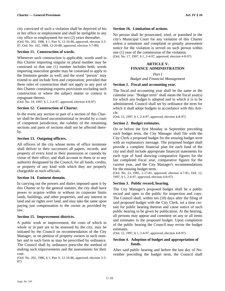city convicted of such a violation shall be deprived of his or her office or employment and shall be ineligible to any city office or employment for two (2) years thereafter. (Ord. No. 202, 1986, § 1, Part X, 12-16-86, approved, election 3-3- 87; Ord. No. 162, 1988, 12-20-88, approved, election 3-7-89)

# **Section 11. Construction of words.**

Whenever such construction is applicable, words used in this Charter importing singular or plural number may be construed so that one (1) number includes both; words importing masculine gender may be construed to apply to the feminine gender as well; and the word "person" may extend to and include firm and corporation; provided that these rules of construction shall not apply to any part of this Charter containing express provisions excluding such construction or where the subject matter or context is repugnant thereto.

(Ord. No. 19, 1997, § 1, 2-4-97, approved, election 4-8-97)

# **Section 12. Construction of Charter.**

In the event any section or part of a section of this Charter shall be declared unconstitutional or invalid by a court of competent jurisdiction, the validity of the remaining sections and parts of sections shall not be affected thereby.

# **Section 13. Outgoing officers.**

All officers of the city whose terms of office terminate shall deliver to their successors all papers, records, and property of every kind in their possession or custody by virtue of their office, and shall account to them or to any authority designated by the Council, for all funds, credits, or property of any kind with which they are properly chargeable as such officials.

#### **Section 14. Eminent domain.**

In carrying out the powers and duties imposed upon it by this Charter or by the general statutes, the city shall have power to acquire within or without its corporate limits lands, buildings, and other properties, and any interest in land and air rights over land, and may take the same upon paying just compensation to the owner as provided by law.

#### **Section 15. Improvement districts.**

A public work or improvement, the costs of which in whole or in part are to be assessed by the city, may be initiated by the Council on recommendation of the City Manager, or on petition of property owners in such number and in such form as may be prescribed by ordinance. The Council shall by ordinance prescribe the method of making such improvements and the assessments for their cost.

(Ord. No. 202, 1986, § 1, Part S, 12-16-86, approved, election 3-3- 87)

#### **Section 16. Limitation of actions.**

No person shall be prosecuted, tried, or punished in the city's Municipal Court for any violation of this Charter unless a summons and complaint or penalty assessment notice for the violation is served on such person within one (1) year of the commission of the violation. (Ord. No. 17, 1997, § 1, 2-4-97, approved, election 4-8-97)

# **ARTICLE V. FINANCE ADMINISTRATION**

*Part I Budget and Financial Management* 

# **Section 1. Fiscal and accounting year.**

The fiscal and accounting year shall be the same as the calendar year. "Budget term" shall mean the fiscal year(s) for which any budget is adopted and in which it is to be administered. Council shall set by ordinance the term for which it shall adopt budgets in accordance with this Article.

(Ord. 12, 1997, § 1, 2-4-97, approved, election 4-8-97)

# **Section 2. Budget estimates.**

On or before the first Monday in September preceding each budget term, the City Manager shall file with the City Clerk a proposed budget for the ensuing budget term with an explanatory message. The proposed budget shall provide a complete financial plan for each fund of the city and shall include appropriate financial statements for each type of fund showing comparative figures for the last completed fiscal year, comparative figures for the current year, and the City Manager's recommendations for the ensuing budget term.

(Ord. No. 23, 1981, 2-17-81, approved, election 4-7-81; Ord. 12, 1997, § 1, 2-4-97, approved, election 4-8-97)

# **Section 3. Public record, hearing.**

The City Manager's proposed budget shall be a public record and open to the public for inspection and copy. The Council shall, within ten (10) days after the filing of said proposed budget with the City Clerk, set a time certain for public hearing thereon and cause notice of such public hearing to be given by publication. At the hearing, all persons may appear and comment on any or all items and estimates in the proposed budget. Upon completion of the public hearing the Council may revise the budget estimates.

(Ord. 12, 1997, § 1, 2-4-97, approved, election 4-8-97)

#### **Section 4. Adoption of budget and appropriation of funds.**

After said public hearing and before the last day of November preceding the budget term, the Council shall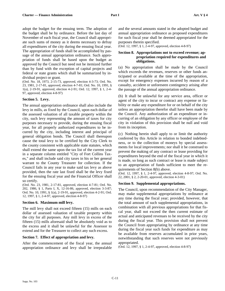adopt the budget for the ensuing term. The adoption of the budget shall be by ordinance. Before the last day of November of each fiscal year, the Council shall appropriate such sums of money as it deems necessary to defray all expenditures of the city during the ensuing fiscal year. The appropriation of funds shall be accomplished by passage of the annual appropriation ordinance. Such appropriation of funds shall be based upon the budget as approved by the Council but need not be itemized further than by fund with the exception of capital projects and federal or state grants which shall be summarized by individual project or grant.

(Ord. No. 18, 1973, 2-15-73, approved, election 4-3-73; Ord. No. 23, 1981, 2-17-81, approved, election 4-7-81; Ord. No. 10, 1991, § 1(a), 2-19-91, approved, election 4-2-91; Ord. 12, 1997, § 1, 2-4- 97, approved, election 4-8-97)

#### **Section 5. Levy.**

The annual appropriation ordinance shall also include the levy in mills, as fixed by the Council, upon each dollar of the assessed valuation of all taxable property within the city, such levy representing the amount of taxes for city purposes necessary to provide, during the ensuing fiscal year, for all properly authorized expenditures to be incurred by the city, including interest and principal of general obligation bonds. The Council shall thereupon cause the total levy to be certified by the City Clerk to the county consistent with applicable state statutes, which shall extend the same upon the tax list of the current year in a separate column entitled "City of Fort Collins Taxes," and shall include said city taxes in his or her general warrant to the County Treasurer for collection. If the Council fails in any year to make said tax levy as above provided, then the rate last fixed shall be the levy fixed for the ensuing fiscal year and the Financial Officer shall so certify.

(Ord. No. 23, 1981, 2-17-81, approved, election 4-7-81; Ord. No. 202, 1986, § 1, Parts I, X, 12-16-86, approved, election 3-3-87; Ord. No. 10, 1991, § 1(a), 2-19-91, approved, election 4-2-91; Ord. 12, 1997, § 1, 2-4-97, approved, election 4-8-97)

#### **Section 6. Maximum mill levy.**

The mill levy shall not exceed fifteen (15) mills on each dollar of assessed valuation of taxable property within the city for all purposes. Any mill levy in excess of the fifteen (15) mills aforesaid shall be absolutely void as to the excess and it shall be unlawful for the Assessor to extend and for the Treasurer to collect any such excess.

#### **Section 7. Effect of appropriation and levy.**

After the commencement of the fiscal year, the annual appropriation ordinance and levy shall be irrepealable

and the several amounts stated in the adopted budget and annual appropriation ordinance as proposed expenditures for such fiscal year shall be deemed appropriated for the purposes therein specified.

(Ord. 12, 1997, § 1, 2-4-97, approved, election 4-8-97)

#### **Section 8. Appropriations not to exceed revenue; appropriation required for expenditures and obligations.**

(a) No appropriation shall be made by the Council which exceeds the revenues, reserves or other funds anticipated or available at the time of the appropriation, except for emergency expenses incurred by reason of a casualty, accident or unforeseen contingency arising after the passage of the annual appropriation ordinance.

(b) It shall be unlawful for any service area, officer or agent of the city to incur or contract any expense or liability or make any expenditure for or on behalf of the city unless an appropriation therefor shall have been made by the Council. Any authorization of an expenditure or incurring of an obligation by any officer or employee of the city in violation of this provision shall be null and void from its inception.

(c) Nothing herein shall apply to or limit the authority conferred by this Article in relation to bonded indebtedness, or to the collection of moneys by special assessments for local improvements; nor shall it be construed to prevent the making of any contract or lease providing for expenditures beyond the end of the fiscal year in which it is made, so long as such contract or lease is made subject to an appropriation of funds sufficient to meet the requirements of Section 8(b) above.

(Ord. 12, 1997, § 1, 2-4-97, approved, election 4-8-97; Ord. No. 22, 2001, § 2, 2-20-01, approved, election 4-3-01)

#### **Section 9. Supplemental appropriations.**

The Council, upon recommendation of the City Manager, may make supplemental appropriations by ordinance at any time during the fiscal year; provided, however, that the total amount of such supplemental appropriations, in combination with all previous appropriations for that fiscal year, shall not exceed the then current estimate of actual and anticipated revenues to be received by the city during the fiscal year. This provision shall not prevent the Council from appropriating by ordinance at any time during the fiscal year such funds for expenditure as may be available from reserves accumulated in prior years, notwithstanding that such reserves were not previously appropriated.

(Ord. 12, 1997, § 1, 2-4-97, approved, election 4-8-97)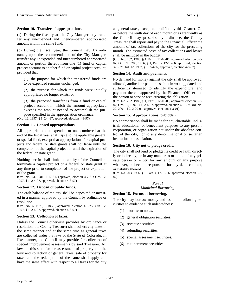#### **Section 10. Transfer of appropriations.**

(a) During the fiscal year, the City Manager may transfer any unexpended and unencumbered appropriated amount within the same fund.

(b) During the fiscal year, the Council may, by ordinance, upon the recommendation of the City Manager, transfer any unexpended and unencumbered appropriated amount or portion thereof from one (1) fund or capital project account to another fund or capital project account, provided that:

(1) the purpose for which the transferred funds are to be expended remains unchanged;

(2) the purpose for which the funds were initially appropriated no longer exists; or

(3) the proposed transfer is from a fund or capital project account in which the amount appropriated exceeds the amount needed to accomplish the purpose specified in the appropriation ordinance.

(Ord. 12, 1997, § 1, 2-4-97, approved, election 4-8-97)

#### **Section 11. Lapsed appropriations.**

All appropriations unexpended or unencumbered at the end of the fiscal year shall lapse to the applicable general or special fund, except that appropriations for capital projects and federal or state grants shall not lapse until the completion of the capital project or until the expiration of the federal or state grant.

Nothing herein shall limit the ability of the Council to terminate a capital project or a federal or state grant at any time prior to completion of the project or expiration of the grant.

(Ord. No. 23, 1981, 2-17-81, approved, election 4-7-81; Ord. 12, 1997, § 1, 2-4-97, approved, election 4-8-97)

#### **Section 12. Deposit of public funds.**

The cash balance of the city shall be deposited or invested in a manner approved by the Council by ordinance or resolution.

(Ord. No. 6, 1975, 2-18-75, approved, election 4-8-75; Ord. 12, 1997, § 1, 2-4-97, approved, election 4-8-97)

#### **Section 13. Collection of taxes.**

Unless the Council otherwise provides by ordinance or resolution, the County Treasurer shall collect city taxes in the same manner and at the same time as general taxes are collected under the laws of the State of Colorado. In like manner, the Council may provide for collection of special improvement assessments by said Treasurer. All laws of this state for the assessment of property and the levy and collection of general taxes, sale of property for taxes and the redemption of the same shall apply and have the same effect with respect to all taxes for the city

as general taxes, except as modified by this Charter. On or before the tenth day of each month or as frequently as the Council may prescribe by ordinance, the County Treasurer shall report and pay to the Financial Officer the amount of tax collections of the city for the preceding month. The estimated costs of tax collections and losses shall be included in the budget.

(Ord. No. 202, 1986, § 1, Part I, 12-16-86, approved, election 3-3- 87; Ord. No. 203, 1986, § 1, Part B, 12-16-86, approved, election 3-3-87; Ord. 12, 1997, § 1, 2-4-97, approved, election 4-8-97)

#### **Section 14. Audit and payments.**

No demand for money against the city shall be approved, allowed, audited, or paid unless it is in writing, dated and sufficiently itemized to identify the expenditure, and payment thereof approved by the Financial Officer and the person or service area creating the obligation.

(Ord. No. 202, 1986, § 1, Part I, 12-16-86, approved, election 3-3- 87; Ord. 12, 1997, § 1, 2-4-97, approved, election 4-8-97; Ord. No. 22, 2001, § 2, 2-20-01, approved, election 4-3-01)

#### **Section 15. Appropriations forbidden.**

No appropriation shall be made for any charitable, industrial, educational, or benevolent purposes to any person, corporation, or organization not under the absolute control of the city, nor to any denominational or sectarian institution or association.

#### **Section 16. City not to pledge credit.**

The city shall not lend or pledge its credit or faith, directly or indirectly, or in any manner to or in aid of any private person or entity for any amount or any purpose whatever, or become responsible for any debt, contract, or liability thereof.

(Ord. No. 203, 1986, § 1, Part D, 12-16-86, approved, election 3-3- 87)

# *Part II Municipal Borrowing*

#### **Section 18. Forms of borrowing.**

The city may borrow money and issue the following securities to evidence such indebtedness:

- (1) short-term notes.
- (2) general obligation securities.
- (3) revenue securities.
- (4) refunding securities.
- (5) special assessment securities.
- (6) tax increment securities.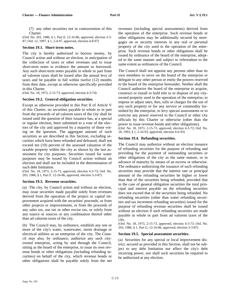(7) any other securities not in contravention of this Charter.

(Ord. No. 203, 1986, § 1, Part E, 12-16-86, approved, election 3-3- 87; Ord. 12, 1997, § 1, 2-4-97, approved, election 4-8-97)

# **Section 19.1. Short-term notes.**

The city is hereby authorized to borrow money, by Council action and without an election, in anticipation of the collection of taxes or other revenues and to issue short-term notes to evidence the amount so borrowed. Any such short-term notes payable in whole or part from ad valorem taxes shall be issued after the annual levy of taxes and be payable in full within twelve (12) months from their date, except as otherwise specifically provided in this Charter.

(Ord. No. 18, 1973, 2-15-73, approved, election 4-3-74)

# **Section 19.2. General obligation securities.**

Except as otherwise provided in this Part II of Article V of this Charter, no securities payable in whole or in part from the proceeds of ad valorem taxes of the city shall be issued until the question of their issuance has, at a special or regular election, been submitted to a vote of the electors of the city and approved by a majority of those voting on the question. The aggregate amount of such securities as are described in this Section, excluding securities which have been refunded and defeased, shall not exceed ten (10) percent of the assessed valuation of the taxable property within the city as shown by the last assessment for city purposes. Securities issued for water purposes may be issued by Council action without an election and shall not be included in the determination of such debt limitation.

(Ord. No. 18, 1973, 2-15-73, approved, election 4-3-73; Ord. No. 203, 1986, § 1, Part F, 12-16-86, approved, election 3-3-87)

#### **Section 19.3. Revenue securities.**

(a) The city, by Council action and without an election, may issue securities made payable solely from revenues derived from the operation of the project or capital improvement acquired with the securities' proceeds, or from other projects or improvements, or from the proceeds of any sales tax, use tax or other excise tax, or solely from any source or sources or any combination thereof other than ad valorem taxes of the city.

(b) The Council may, by ordinance, establish any one or more of the city's water, wastewater, storm drainage or electrical utilities as an enterprise of the city. The Council may also, by ordinance, authorize any such cityowned enterprise, acting by and through the Council, sitting as the board of the enterprise, to issue its own revenue bonds or other obligations (including refunding securities) on behalf of the city, which revenue bonds or other obligations shall be payable solely from the net

revenues (including special assessments) derived from the operation of the enterprise. Such revenue bonds or other obligations may be additionally secured by mortgages on or security interests in any real or personal property of the city used in the operation of the enterprise. Such revenue bonds or other obligations shall be issued by ordinance of the board of the enterprise, adopted in the same manner and subject to referendum to the same extent as ordinances of the Council.

The Council shall not appoint any persons other than its own members to serve on the board of the enterprise or delegate to any other person or entity the powers reserved to the board of the enterprise hereunder. Neither shall the Council authorize the board of the enterprise to acquire, construct or install or hold title to or dispose of any cityowned property used in the operation of the enterprise, to impose or adjust rates, fees, tolls or charges for the use of any such property or for any service or commodity furnished by the enterprise, to levy special assessments or to exercise any power reserved to the Council or other city officials by this Charter or otherwise (other than the power to issue revenue bonds and other obligations).

(Ord. No. 18, 1973, 2-15-73, approved, election 4-3-73; Ord. No. 18, 1993, § 1, 2-16-93, approved, election 4-6-93)

# **Section 19.4. Refunding securities.**

The Council may authorize without an election issuance of refunding securities for the purpose of refunding and providing for the payment of outstanding securities or other obligations of the city as the same mature, or in advance of maturity by means of an escrow or otherwise. The ordinance authorizing the issuance of such refunding securities may provide that the interest rate or principal amount of the refunding securities be higher or lower than that of the securities being refunded, provided that in the case of general obligation securities the total principal and interest payable on the refunding securities does not exceed that of the securities being refunded. No refunding securities (other than water refunding securities and tax increment refunding securities) issued for the purpose of refunding revenue securities shall be issued without an election if such refunding securities are made payable in whole or part from ad valorem taxes of the city.

(Ord. No. 18, 1973, 2-15-73, approved, election 4-3-73; Ord. No. 203, 1986, § 1, Part G, 12-16-86, approved, election 3-3-87)

#### **Section 19.5. Special assessment securities.**

(a) Securities for any special or local improvement district, secured as provided in this Section, shall not be subject to any debt limitation nor affect the city's debt incurring power, nor shall such securities be required to be authorized at any election.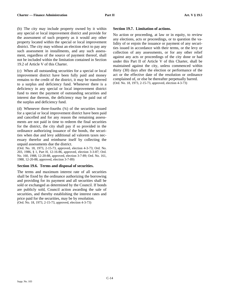(b) The city may include property owned by it within any special or local improvement district and provide for the assessment of such property as it would any other property located within the special or local improvement district. The city may without an election elect to pay any such assessment in installments, and any such assessment, regardless of the source of payment thereof, shall not be included within the limitation contained in Section 19.2 of Article V of this Charter.

(c) When all outstanding securities for a special or local improvement district have been fully paid and money remains to the credit of the district, it may be transferred to a surplus and deficiency fund. Whenever there is a deficiency in any special or local improvement district fund to meet the payment of outstanding securities and interest due thereon, the deficiency may be paid out of the surplus and deficiency fund.

(d) Whenever three-fourths  $(34)$  of the securities issued for a special or local improvement district have been paid and cancelled and for any reason the remaining assessments are not paid in time to redeem the final securities for the district, the city shall pay if so provided in the ordinance authorizing issuance of the bonds, the securities when due and levy additional ad valorem taxes necessary therefor and reimburse itself by collecting the unpaid assessments due the district.

(Ord. No. 18, 1973, 2-15-73, approved, election 4-3-73; Ord. No. 203, 1986, § 1, Part H, 12-16-86, approved, election 3-3-87; Ord. No. 160, 1988, 12-20-88, approved, election 3-7-89; Ord. No. 161, 1988, 12-20-88, approved, election 3-7-89)

#### **Section 19.6. Terms and disposal of securities.**

The terms and maximum interest rate of all securities shall be fixed by the ordinance authorizing the borrowing and providing for its payment and all securities shall be sold or exchanged as determined by the Council. If bonds are publicly sold, Council action awarding the sale of securities, and thereby establishing the interest rates and price paid for the securities, may be by resolution. (Ord. No. 18, 1973, 2-15-73, approved, election 4-3-73)

#### **Section 19.7. Limitation of actions.**

No action or proceeding, at law or in equity, to review any elections, acts or proceedings, or to question the validity of or enjoin the issuance or payment of any securities issued in accordance with their terms, or the levy or collection of any assessments, or for any other relief against any acts or proceedings of the city done or had under this Part II of Article V of this Charter, shall be maintained against the city, unless commenced within thirty (30) days after the election or performance of the act or the effective date of the resolution or ordinance complained of, or else be thereafter perpetually barred. (Ord. No. 18, 1973, 2-15-73, approved, election 4-3-73)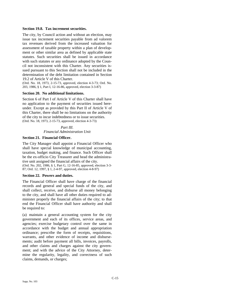# **Section 19.8. Tax increment securities.**

The city, by Council action and without an election, may issue tax increment securities payable from ad valorem tax revenues derived from the increased valuation for assessment of taxable property within a plan of development or other similar area as defined by applicable state statutes. Such securities shall be issued in accordance with such statutes or any ordinance adopted by the Council not inconsistent with this Charter. Any securities issued pursuant to this Section shall not be included in the determination of the debt limitation contained in Section 19.2 of Article V of this Charter.

(Ord. No. 18, 1973, 2-15-73, approved, election 4-3-73; Ord. No. 203, 1986, § 1, Part I, 12-16-86, approved, election 3-3-87)

#### **Section 20. No additional limitations.**

Section 6 of Part I of Article V of this Charter shall have no application to the payment of securities issued hereunder. Except as provided by this Part II of Article V of this Charter, there shall be no limitations on the authority of the city to incur indebtedness or to issue securities. (Ord. No. 18, 1973, 2-15-73, approved, election 4-3-73)

> *Part III. Financial Administration Unit*

#### **Section 21. Financial Officer.**

The City Manager shall appoint a Financial Officer who shall have special knowledge of municipal accounting, taxation, budget making, and finance. Such Officer shall be the ex-officio City Treasurer and head the administrative unit assigned the financial affairs of the city. (Ord. No. 202, 1986, § 1, Part G, 12-16-85, approved, election 3-3-

87; Ord. 12, 1997, § 1, 2-4-97, approved, election 4-8-97)

#### **Section 22. Powers and duties.**

The Financial Officer shall have charge of the financial records and general and special funds of the city, and shall collect, receive, and disburse all money belonging to the city, and shall have all other duties required to administer properly the financial affairs of the city; to that end the Financial Officer shall have authority and shall be required to:

(a) maintain a general accounting system for the city government and each of its offices, service areas, and agencies; exercise budgetary control over the same in accordance with the budget and annual appropriation ordinance; prescribe the form of receipts, requisitions, warrants, and other evidence of income and disbursements; audit before payment all bills, invoices, payrolls, and other claims and charges against the city government; and with the advice of the City Attorney, determine the regularity, legality, and correctness of such claims, demands, or charges;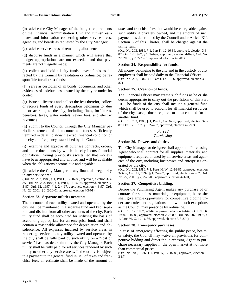(c) advise service areas of remaining allotments;

(d) disburse funds in a manner which will assure that budget appropriations are not exceeded and that payments are not illegally made;

(e) collect and hold all city funds; invest funds as directed by the Council by resolution or ordinance; be responsible for all trust funds;

(f) serve as custodian of all bonds, documents, and other evidences of indebtedness owned by the city or under its control;

(g) issue all licenses and collect the fees therefor; collect or receive funds of every description belonging to, due to, or accruing to the city, including fines, forfeitures, penalties, taxes, water rentals, sewer fees, and electric revenues;

(h) submit to the Council through the City Manager periodic statements of all accounts and funds, sufficiently itemized in detail to show the exact financial condition of the city at a frequency established by the Council;

(i) examine and approve all purchase contracts, orders, and other documents by which the city incurs financial obligations, having previously ascertained that moneys have been appropriated and allotted and will be available when the obligations become due and payable;

(j) advise the City Manager of any financial irregularity in any service area.

(Ord. No. 202, 1986, § 1, Part G, 12-16-86, approved, election 3-3- 85; Ord. No. 203, 1986, § 1, Part J, 12-16-86, approved, election 3- 3-87; Ord. 12, 1997, § 1, 2-4-97, approved, election 4-8-97; Ord. No. 22, 2001, § 2, 2-20-01, approved, election 4-3-01)

#### **Section 23. Separate utilities accounts.**

The accounts of each utility owned and operated by the city shall be maintained in a separate fund and kept separate and distinct from all other accounts of the city. Each utility fund shall be accounted for utilizing the basis of accounting appropriate for an enterprise fund, and shall contain a reasonable allowance for depreciation and obsolescence. All expenses incurred by service areas in rendering services to any utility owned and operated by the city shall be fully paid by such utility on a "cost of service" basis as determined by the City Manager. Each utility shall be fully paid for all services rendered by such utility to other city service areas. If the utility is subject to a payment to the general fund in lieu of taxes and franchise fees, an estimate shall be made of the amount of

taxes and franchise fees that would be chargeable against such utility if privately owned, and the amount of such payment, as determined by the Council under Article XII, Section 6 of this Charter, shall be charged against the utility fund.

(Ord. No. 203, 1986, § 1, Part K, 12-16-86, approved, election 3-3- 87; Ord. 12, 1997, § 1, 2-4-97, approved, election 4-8-97; Ord. No. 22, 2001, § 2, 2-20-01, approved, election 4-3-01)

# **Section 24. Responsibility for funds.**

All money belonging to the city and in the custody of city employees shall be paid daily to the Financial Officer. (Ord. No. 202, 1986, § 1, Part J, 12-16-86, approved, election 3-3- 87)

# **Section 25. Creation of funds.**

The Financial Officer may create such funds as he or she deems appropriate to carry out the provisions of this Part III. The funds of the city shall include a general fund which shall be used to account for all financial resources of the city except those required to be accounted for in another fund.

(Ord. No. 203, 1986, § 1, Part L, 12-16-86, approved, election 3-3- 87; Ord. 12, 1997, § 1, 2-4-97, approved, election 4-8-97)

#### *Part IV Purchasing*

# **Section 26. Powers and duties.**

The City Manager or designee shall appoint a Purchasing Agent who shall contract for all supplies, materials, and equipment required or used by all service areas and agencies of the city, including businesses and enterprises operated by the city.

(Ord. No. 202, 1986, § 1, Parts H, W, 12-16-86, approved, election 3-3-87; Ord. 12, 1997, § 1, 2-4-97, approved, election 4-8-97; Ord. No. 22, 2001, § 2, 2-20-01, approved, election 4-3-01)

# **Section 27. Competitive bidding.**

Before the Purchasing Agent makes any purchase of or contract for supplies, materials, or equipment, he or she shall give ample opportunity for competitive bidding under such rules and regulations, and with such exceptions as the Council may prescribe by ordinance.

(Ord. No. 12, 1967, 2-9-67, approved, election 4-4-67; Ord. No. 6, 1980, 1-16-80, approved, election 2-26-80; Ord. No. 202, 1986, § 1, Parts W, X, 12-16-86, approved, election 3-3-87; )

#### **Section 28. Emergency purchases.**

In case of emergency affecting the public peace, health, or safety, the Council may waive all provisions for competitive bidding and direct the Purchasing Agent to purchase necessary supplies in the open market at not more than commercial prices.

(Ord. No. 202, 1986, § 1, Part W, 12-16-86, approved, election 3- 3-87)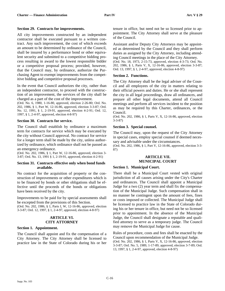### **Section 29. Contracts for improvements.**

All city improvements constructed by an independent contractor shall be executed pursuant to a written contract. Any such improvement, the cost of which exceeds an amount to be determined by ordinance of the Council, shall be insured by a performance bond or other equivalent security and submitted to a competitive bidding process resulting in award to the lowest responsible bidder or a competitive proposal process; provided, however, that the Council may, by ordinance, authorize the Purchasing Agent to exempt improvements from the competitive bidding and competitive proposal processes.

In the event that Council authorizes the city, rather than an independent contractor, to proceed with the construction of an improvement, the services of the city shall be charged as a part of the cost of the improvement.

(Ord. No. 6, 1980, 1-16-80, approved, election 2-26-80; Ord. No. 202, 1986, § 1, Part W, 12-16-86, approved, election 3-3-87; Ord. No. 12, 1991, § 1, 2-19-91, approved, election 4-2-91; Ord. 12, 1997, § 1, 2-4-97, approved, election 4-8-97)

#### **Section 30. Contracts for service.**

The Council shall establish by ordinance a maximum term for contracts for service which may be executed by the city without Council approval. No contract for service for a longer term shall be made by the city, unless authorized by ordinance, which ordinance shall not be passed as an emergency ordinance.

(Ord. No. 202, 1986, § 1, Part W, 12-16-86, approved, election 3- 3-87; Ord. No. 13, 1991 § 1, 2-19-91, approved, election 4-2-91)

#### **Section 31. Contracts effective only when bond funds available.**

No contract for the acquisition of property or the construction of improvements or other expenditures which is to be financed by bonds or other obligations shall be effective until the proceeds of the bonds or obligations have been received by the city.

Improvements to be paid for by special assessments shall be excepted from the provisions of this Section. (Ord. No. 202, 1986, § 1, Parts I, W, 12-16-86, approved, election 3-3-87; Ord. 12, 1997, § 1, 2-4-97, approved, election 4-8-97)

# **ARTICLE VI. CITY ATTORNEY**

# **Section 1. Appointment.**

The Council shall appoint and fix the compensation of a City Attorney. The City Attorney shall be licensed to practice law in the State of Colorado during his or her tenure in office, but need not be so licensed prior to appointment. The City Attorney shall serve at the pleasure of the Council.

Assistant and/or Deputy City Attorneys may be appointed as determined by the Council and they shall perform duties as assigned by the City Attorney, including attending Council meetings in the place of the City Attorney.

(Ord. No. 18, 1973, 2-15-73, approved, election 4-3-73; Ord. No. 202, 1986, § 1, Parts V, X, 12-16-86, approved, election 3-3-87; Ord. 13, 1997, § 1, 2-4-97, approved, election 4-8-97)

#### **Section 2. Functions.**

The City Attorney shall be the legal adviser of the Council and all employees of the city in matters relating to their official powers and duties. He or she shall represent the city in all legal proceedings, draw all ordinances, and prepare all other legal documents, attend all Council meetings and perform all services incident to the position as may be required by this Charter, ordinances, or the Council.

(Ord. No. 202, 1986, § 1, Parts V, X, 12-16-86, approved, election 3-3-87)

# **Section 3. Special counsel.**

The Council may, upon the request of the City Attorney in special cases, employ special counsel if deemed necessary and advisable under the circumstances.

(Ord. No. 202, 1986, § 1, Part V, 12-16-86, approved, election 3-3- 87)

# **ARTICLE VII. MUNICIPAL COURT**

#### **Section 1. Municipal Court.**

There shall be a Municipal Court vested with original jurisdiction of all causes arising under the City's Charter and ordinances. The Council shall appoint a Municipal Judge for a two (2) year term and shall fix the compensation of the Municipal Judge. Such compensation shall in no manner be contingent upon the amount of fees, fines or costs imposed or collected. The Municipal Judge shall be licensed to practice law in the State of Colorado during his or her tenure in office, but need not be so licensed prior to appointment. In the absence of the Municipal Judge, the Council shall designate a reputable and qualified attorney to serve as a temporary judge. The Council may remove the Municipal Judge for cause.

Rules of procedure, costs and fees shall be enacted by the Council upon recommendation of the Municipal Judge. (Ord. No. 202, 1986, § 1, Parts V, X, 12-16-86, approved, election 3-3-87; Ord. No. 5, 1989, 1-17-89, approved, election 3-7-89; Ord. 13, 1997, § 1, 2-4-97, approved, election 4-8-97)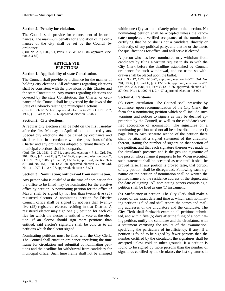# **Section 2. Penalty for violation.**

The Council shall provide for enforcement of its ordinances. The maximum penalty for a violation of the ordinances of the city shall be set by the Council by ordinance.

(Ord. No. 202, 1986, § 1, Parts R, V, W, 12-16-86, approved, election 3-3-87)

#### **ARTICLE VIII. ELECTIONS**

#### **Section 1. Applicability of state Constitution.**

The Council shall provide by ordinance for the manner of holding city elections. All ordinances regarding elections shall be consistent with the provisions of this Charter and the state Constitution. Any matter regarding elections not covered by the state Constitution, this Charter or ordinance of the Council shall be governed by the laws of the State of Colorado relating to municipal elections.

(Res. No. 71-12, 2-11-71, approved, election 4-6-71; Ord. No. 202, 1986, § 1, Part V, 12-16-86, approved, election 3-3-87)

# **Section 2. City elections.**

A regular city election shall be held on the first Tuesday after the first Monday in April of odd-numbered years. Special city elections shall be called by ordinance and shall be held in accordance with the provisions of this Charter and any ordinances adopted pursuant thereto. All municipal elections shall be nonpartisan.

(Ord. No. 23, 1981, 2-17-81, approved, election 4-7-81; Ord. No. 201, 1986, § 1, Part B, § 2, 12-16-86, approved, election 3-3-87; Ord. No. 202, 1986, § 1, Part V, 12-16-86, approved, election 3-3- 87; Ord. No. 154, 1988, 12-20-88, approved, election 3-7-89; Ord. No. 11, 1997, § 1, 2-4-97, approved, election 4-8-97)

#### **Section 3. Nomination; withdrawal from nomination.**

Any person who is qualified at the time of nomination for the office to be filled may be nominated for the elective office by petition. A nominating petition for the office of Mayor shall be signed by not less than twenty-five (25) registered electors. A nominating petition for District Council office shall be signed by not less than twentyfive (25) registered electors residing in that District. A registered elector may sign one (1) petition for each office for which the elector is entitled to vote at the election. If an elector should sign more petitions than entitled, said elector's signature shall be void as to all petitions which the elector signed.

Nominating petitions must be filed with the City Clerk. The Council shall enact an ordinance specifying the time frame for circulation and submittal of nominating petitions and the deadline for withdrawal from candidacy for municipal office. Such time frame shall not be changed within one (1) year immediately prior to the election. No nominating petition shall be accepted unless the candidate completes a verified acceptance of the nomination certifying that he or she is not a candidate, directly or indirectly, of any political party, and that he or she meets the qualifications for office, and will serve if elected.

A person who has been nominated may withdraw from candidacy by filing a written request to do so with the City Clerk before the deadline established by Council ordinance for such withdrawal, and no name so withdrawn shall be placed upon the ballot.

(Ord. No. 12, 1977, 2-15-77, approved, election 4-5-77; Ord. No. 201, 1986, § 1, Part E, § 3, 12-16-86, approved, election 3-3-87; Ord. No. 202, 1986, § 1, Part V, 12-16-86, approved, election 3-3- 87; Ord. No. 11, 1997, § 1, 2-4-97, approved, election 4-8-97)

#### **Section 4. Petitions.**

(a) Form; circulation. The Council shall prescribe by ordinance, upon recommendation of the City Clerk, the form for a nominating petition which shall include such warnings and notices to signers as may be deemed appropriate by the Council, as well as the candidate's verified acceptance of nomination. The signatures on a nominating petition need not all be subscribed on one (1) page, but to each separate section of the petition there shall be attached a signed statement of the circulator thereof, stating the number of signers on that section of the petition, and that each signature thereon was made in the circulator's presence and is the genuine signature of the person whose name it purports to be. When executed, such statement shall be accepted as true until it shall be proved false. If any portion is proved false, that portion of any petition shall be disregarded. Following each signature on the petition of nomination shall be written the printed name and the residence address of the signer, and the date of signing. All nominating papers comprising a petition shall be filed as one (1) instrument.

(b) Sufficiency of petition. The City Clerk shall make a record of the exact date and time at which each nominating petition is filed and shall record the names and mailing addresses of the circulators and the candidate. The City Clerk shall forthwith examine all petitions submitted, and within five (5) days after the filing of a nominating petition, notify the candidate and the circulators, with a statement certifying the results of the examination, specifying the particulars of insufficiency, if any. If a petition is found to be signed by fewer persons than the number certified by the circulator, the signatures shall be accepted unless void on other grounds. If a petition is found to be signed by more persons than the number of signatures certified by the circulator, the last signatures in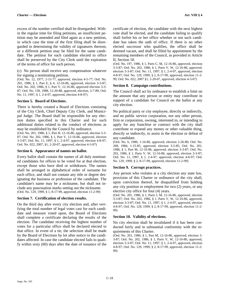excess of the number certified shall be disregarded. Within the regular time for filing petitions, an insufficient petition may be amended and filed again as a new petition, in which case the time of the first filing shall be disregarded in determining the validity of signatures thereon, or a different petition may be filed for the same candidate. The petition for each candidate elected to office shall be preserved by the City Clerk until the expiration of the terms of office for such person.

(c) No person shall receive any compensation whatever for signing a nominating petition.

(Ord. No. 12, 1977, 2-15-77, approved, election 4-5-77; Ord. No. 201, 1986, § 1, Part E, § 4, 12-16-86, approved, election 3-3-87; Ord. No. 202, 1986, § 1, Part V, 12-16-86, approved election 3-3- 87; Ord. No. 158, 1988, 12-20-88, approved, election, 3-7-89; Ord. No. 11, 1997, § 1, 2-4-97, approved, election 4-8-97)

#### **Section 5. Board of Elections.**

There is hereby created a Board of Elections consisting of the City Clerk, Chief Deputy City Clerk, and Municipal Judge. The Board shall be responsible for any election duties specified in this Charter and for such additional duties related to the conduct of elections as may be established by the Council by ordinance.

(Ord. No. 201, 1986, § 1, Part H, 12-16-86, approved, election 3-3- 87; Ord. No. 202, 1986, § 1, Part V, 12-16-86, approved, election 3-3-87; Ord. No. 11, 1997, § 1, 2-4-97, approved, election 4-8-97; Ord. No. 022, 2007, §1, 2-20-07, approved, election 4-3-07)

#### **Section 6. Appearance of names on ballot.**

Every ballot shall contain the names of all duly nominated candidates for offices to be voted for at that election, except those who have died or withdrawn. The names shall be arranged in alphabetical order of surname for each office, and shall not contain any title or degree designating the business or profession of the candidate. The candidate's name may be a nickname, but shall not include any punctuation marks setting out the nickname. (Ord. No. 129, 1999, § 1, 8-17-99, approved, election 11-2-99)

#### **Section 7. Certification of election results.**

On the third day after every city election and, after verifying the total number of legal votes cast for each candidate and measure voted upon, the Board of Elections shall complete a certificate declaring the results of the election. The candidate receiving the highest number of votes for a particular office shall be declared elected to that office. In event of a tie, the selection shall be made by the Board of Elections by lot after notice to the candidates affected. In case the candidate elected fails to qualify within sixty (60) days after the date of issuance of the

certificate of election, the candidate with the next highest vote shall be elected, and the candidate failing to qualify shall forfeit his or her office whether or not such candidate has taken the oath of office. If there is no other elected successor who qualifies, the office shall be deemed vacant, and shall be filled by appointment by the remaining members of the Council, as provided in Article II, Section 18.

(Ord. No. 197, 1986, § 1, Parts C, M, 12-16-86, approved, election 3-3-87; Ord. No. 202, 1986, § 1, Parts V, W, 12-16-86, approved, election 3-3-87; Ord. No. 11, 1997, § 1, 2-4-97, approved, election 4-8-97; Ord. No. 129, 1999, § 2, 8-17-99, approved, election 11-2- 99; Ord. No. 022, 2007 §1, 2-20-07, approved, election 4-3-07)

#### **Section 8. Campaign contributions.**

The Council shall act by ordinance to establish a limit on the amount that any person or entity may contribute in support of a candidate for Council on the ballot at any city election.

No political party or city employee, directly or indirectly, and no public service corporation, nor any other person, firm or corporation, owning, interested in, or intending to apply for any franchise or contract with the city shall contribute or expend any money or other valuable thing, directly or indirectly, to assist in the election or defeat of any candidate.

(Ord. No. 6, 1980, 1-16-80, approved, election 2-26-80; Ord. No. 208, 1984, 1-15-85, approved, election 3-5-85; Ord. No. 201, 1986, § 1, Part M, 12-16-86, approved, election 3-3-87; Ord. No. 202, 1986, § 1, Parts V, W, 12-16-86, approved, election 3-3-87; Ord. No. 11, 1997, § 1, 2-4-97, approved, election 4-8-97; Ord. No. 129, 1999, § 2, 8-17-99, approved, election 11-2-99)

#### **Section 9. Corrupt practices.**

Any person who violates at a city election any state law, provision of this Charter or ordinance of the city shall, upon conviction thereof, be disqualified from holding any city position or employment for two (2) years, or any elective city office for four (4) years.

(Ord. No. 201, 1986, § 1, Parts J, M, 12-16-86, approved, election 3-3-87; Ord. No. 202, 1986, § 1, Parts V, W, 12-16-86, approved, election 3-3-87; Ord. No. 11, 1997, § 1, 2-4-97, approved, election 4-8-97; Ord. No. 129, 1999, § 2, 8-17-99, approved, election 11-2- 99)

#### **Section 10. Validity of elections.**

No city election shall be invalidated if it has been conducted fairly and in substantial conformity with the requirements of this Charter.

(Ord. No. 201, 1986, § 1, Part M, 12-16-86, approved, election 3- 3-87; Ord. No. 202, 1986, § 1, Parts V, W, 12-16-86, approved, election 3-3-87; Ord. No. 11, 1997, § 1, 2-4-97, approved, election 4-8-97; Ord. No. 129, 1999, § 2, 8-17-99, approved, election 11-2- 99)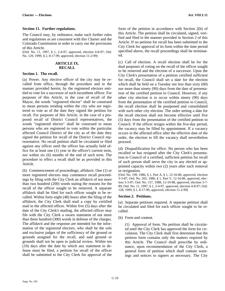#### **Section 11. Further regulations.**

The Council may, by ordinance, make such further rules and regulations as are consistent with this Charter and the Colorado Constitution in order to carry out the provisions of this Article.

(Ord. No. 11, 1997, § 1, 2-4-97, approved, election 4-8-97; Ord. No. 129, 1999, § 2, 8-17-99, approved, election 11-2-99)

#### **ARTICLE IX. RECALL**

#### **Section 1. The recall.**

(a) Power. Any elective officer of the city may be recalled from office, through the procedure and in the manner provided herein, by the registered electors entitled to vote for a successor of such incumbent officer. For purposes of this Article, in the case of recall of the Mayor, the words "registered elector" shall be construed to mean persons residing within the city who are registered to vote as of the date they signed the petition for recall. For purposes of this Article, in the case of a proposed recall of District Council representatives, the words "registered elector" shall be construed to mean persons who are registered to vote within the particular affected Council District of the city as of the date they signed the petition for recall of the District Council representative. No recall petition shall be circulated or filed against any officer until the officer has actually held office for at least one (1) year in the officer's current term, nor within six (6) months of the end of such term. The procedure to effect a recall shall be as provided in this Article.

(b) Commencement of proceedings; affidavit. One (1) or more registered electors may commence recall proceedings by filing with the City Clerk an affidavit of not more than two hundred (200) words stating the reasons for the recall of the officer sought to be removed. A separate affidavit shall be filed for each officer sought to be recalled. Within forty-eight (48) hours after the filing of the affidavit, the City Clerk shall mail a copy by certified mail to the affected officer. Within five (5) days after the date of the City Clerk's mailing, the affected officer may file with the City Clerk a sworn statement of not more than three hundred (300) words in defense of the charges. The affidavit and the response are intended for the information of the registered electors, who shall be the sole and exclusive judges of the sufficiency of the ground or grounds assigned for the recall, and said ground or grounds shall not be open to judicial review. Within ten (10) days after the date by which any statement in defense must be filed, a petition for recall of the officer shall be submitted to the City Clerk for approval of the

form of the petition in accordance with Section 2(b) of this Article. The petition shall be circulated, signed, verified and filed in the manner provided in Section 2 of this Article. If no petition for recall has been submitted to the City Clerk for approval of its form within the time period specified above, the recall proceedings shall be terminated.

(c) Call of election. A recall election shall be for the dual purposes of voting on the recall of the officer sought to be removed and the election of a successor. Upon the City Clerk's presentation of a petition certified sufficient for recall, the Council shall set a date for the election which shall be held on a Tuesday not less than sixty (60) nor more than ninety (90) days from the date of presentation of the certified petition to Council. However, if any other city election is to occur within ninety (90) days from the presentation of the certified petition to Council, the recall election shall be postponed and consolidated with such other city election. The order setting a date for the recall election shall not become effective until five (5) days from the presentation of the certified petition to Council. If the officer resigns within the five-day period, the vacancy may be filled by appointment. If a vacancy occurs in the affected office after the effective date of the order, the election to fill the vacancy shall nevertheless proceed.

(d) Disqualification for office. No person who has been recalled or has resigned after the City Clerk's presentation to Council of a certified, sufficient petition for recall of such person shall serve the city in any elected or appointed capacity within two (2) years after such removal or resignation.

(Ord. No. 199, 1986, § 1, Part A, § 1, 12-16-86, approved, election 3-3-87; Ord. No. 202, 1986, § 1, Part V, 12-16-86, approved, election 3-3-87; Ord. No. 157, 1988, 12-10-88, approved, election 3-7- 89; Ord. No. 11, 1997, § 1, 2-4-97, approved, election 4-8-97; Ord. 128, 1999, § 1, 8-17-99, approved, election 11-2-99)

#### **Section 2. Petitions.**

(a) Separate petitions required. A separate petition shall be circulated and filed for each officer sought to be recalled.

(b) Form and content.

(1) Approval of form. No petition shall be circulated until the City Clerk has approved the form for circulation. The City Clerk shall first determine that the petition form contains only the matters required by this Article. The Council shall prescribe by ordinance, upon recommendation of the City Clerk, a general form of petition which shall contain warnings and notices to signers as necessary. The City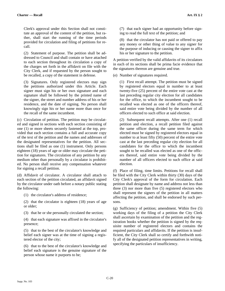Clerk's approval under this Section shall not constitute an approval of the content of the petition, but rather, shall start the running of the time periods provided for circulation and filing of petitions for recall.

(2) Statement of purpose. The petition shall be addressed to Council and shall contain or have attached to each section throughout its circulation a copy of the charges set forth in the affidavit on file with the City Clerk, and if requested by the person sought to be recalled, a copy of the statement in defense.

(3) Signatures. Only registered electors may sign the petitions authorized under this Article. Each signer must sign his or her own signature and each signature shall be followed by the printed name of the signer, the street and number address of his or her residence, and the date of signing. No person shall knowingly sign his or her name more than once for the recall of the same incumbent.

(c) Circulation of petition. The petition may be circulated and signed in sections with each section consisting of one (1) or more sheets securely fastened at the top, provided that each section contains a full and accurate copy of the text of the petition and the names and addresses of the designated representatives for the petition. All sections shall be filed as one (1) instrument. Only persons eighteen (18) years of age or older may circulate the petition for signatures. The circulation of any petition by any medium other than personally by a circulator is prohibited. No person shall receive any compensation whatever for signing a recall petition.

(d) Affidavit of circulator. A circulator shall attach to each section of the petition circulated, an affidavit signed by the circulator under oath before a notary public stating the following:

(1) the circulator's address of residence;

(2) that the circulator is eighteen (18) years of age or older;

(3) that he or she personally circulated the section;

(4) that each signature was affixed in the circulator's presence;

(5) that to the best of the circulator's knowledge and belief each signer was at the time of signing a registered elector of the city;

(6) that to the best of the circulator's knowledge and belief each signature is the genuine signature of the person whose name it purports to be;

(7) that each signer had an opportunity before signing to read the full text of the petition; and

(8) that the circulator has not paid or offered to pay any money or other thing of value to any signer for the purpose of inducing or causing the signer to affix his or her signature to the petition.

A petition verified by the valid affidavits of its circulators in each of its sections shall be prima facie evidence that the signatures thereon are genuine and true.

(e) Number of signatures required.

(1) First recall attempt. The petition must be signed by registered electors equal in number to at least twenty-five (25) percent of the entire vote cast at the last preceding regular city election for all candidates for the office, to which the incumbent sought to be recalled was elected as one of the officers thereof, said entire vote being divided by the number of all officers elected to such office at said election.

(2) Subsequent recall attempts. After one (1) recall petition and election, a recall petition filed against the same officer during the same term for which elected must be signed by registered electors equal in number to at least fifty (50) percent of the entire vote cast at the last preceding regular city election for all candidates for the office to which the incumbent sought to be recalled was elected as one of the officers thereof, said entire vote being divided by the number of all officers elected to such office at said election.

(f) Place of filing, time limits. Petitions for recall shall be filed with the City Clerk within thirty (30) days of the City Clerk's approval of the form for circulation. Each petition shall designate by name and address not less than three (3) nor more than five (5) registered electors who shall represent the signers of the petition in all matters affecting the petition, and shall be endorsed by such persons.

(g) Sufficiency of petition; amendment. Within five (5) working days of the filing of a petition the City Clerk shall ascertain by examination of the petition and the registration books whether the petition is signed by the requisite number of registered electors and contains the required particulars and affidavits. If the petition is insufficient, the City Clerk shall so certify and forthwith notify all of the designated petition representatives in writing, specifying the particulars of insufficiency.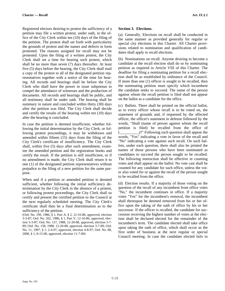Registered electors desiring to protest the sufficiency of a petition may file a written protest, under oath, in the office of the City Clerk within ten (10) days of the filing of the petition. The protest shall set forth with particularity the grounds of protest and the names and defects in form protested. The reasons assigned for recall may not be protested. Upon the filing of a written protest, the City Clerk shall set a time for hearing such protest, which shall be no more than seven (7) days thereafter. At least five (5) days before the hearing, the City Clerk shall mail a copy of the protest to all of the designated petition representatives together with a notice of the time for hearing. All records and hearings shall be before the City Clerk who shall have the power to issue subpoenas to compel the attendance of witnesses and the production of documents. All records and hearings shall be public, and all testimony shall be under oath. The hearing shall be summary in nature and concluded within thirty (30) days after the petition was filed. The City Clerk shall decide and certify the results of the hearing within ten (10) days after the hearing is concluded.

In case the petition is deemed insufficient, whether following the initial determination by the City Clerk, or following protest proceedings, it may be withdrawn and amended within fifteen (15) days from the filing of the City Clerk's certificate of insufficiency. The City Clerk shall, within five (5) days after such amendment, examine the amended petition and the registration books and certify the result. If the petition is still insufficient, or if no amendment is made, the City Clerk shall return it to one (1) of the designated petition representatives without prejudice to the filing of a new petition for the same purpose.

When and if a petition or amended petition is deemed sufficient, whether following the initial sufficiency determination by the City Clerk in the absence of a protest, or following protest proceedings, the City Clerk shall so certify and present the certified petition to the Council at the next regularly scheduled meeting. The City Clerk's certificate shall then be a final determination as to the sufficiency of the petition.

(Ord. No. 199, 1986, § 1, Part A, § 2, 12-16-86, approved, election 3-3-87; Ord. No. 202, 1986, § 1, Part V, 12-16-86, approved, election 3-3-87; Ord. No. 157, 1988, 12-20-88, approved, election 3-7- 89; Ord. No. 158, 1988, 12-20-88, approved, election 3-7-89; Ord. No. 11, 1997, § 1, 2-4-97, approved, election 4-8-97; Ord. No. 88, 2000, § 1, 8-15-00, approved, election 11-7-00)

#### **Section 3. Elections.**

(a) Generally. Elections on recall shall be conducted in the same manner as provided generally for regular or special city elections in this Charter. All Charter provisions related to nomination and qualification of candidates shall apply to recall elections.

(b) Nominations on recall. Anyone desiring to become a candidate at the recall election shall do so by nominating petition as required in Article VIII of this Charter. The deadline for filing a nominating petition for a recall election shall be as established by ordinance of the Council. If more than one (1) officer is sought to be recalled, then the nominating petition must specify which incumbent the candidate seeks to succeed. The name of the person against whom the recall petition is filed shall not appear on the ballot as a candidate for the office.

(c) Ballots. There shall be printed on the official ballot, as to every officer whose recall is to be voted on, the statement of grounds and, if requested by the affected officer, the officer's statement in defense followed by the words, "Shall (name of person against whom the recall petition is filed) be recalled from the office of (\_\_\_\_\_\_\_\_\_\_)?" Following such question shall appear the words, "Yes" indicating a vote in favor of the recall and "No" indicating a vote against such recall. On such ballots, under each question, there shall also be printed the names of those persons who have been nominated as candidates to succeed the person sought to be recalled. The following instruction shall be effective in counting votes and shall appear on the ballot: No vote cast shall be counted for any candidate for such office, unless the voter also voted for or against the recall of the person sought to be recalled from the office.

(d) Election results. If a majority of those voting on the question of the recall of any incumbent from office votes "No," the incumbent continues in office. If a majority votes "Yes" for the incumbent's removal, the incumbent shall thereupon be deemed removed from his or her office upon the taking of the oath of office by his or her successor. If the officer is recalled, the candidate for succession receiving the highest number of votes at the election shall be declared elected for the remainder of the incumbent's term. The candidate elected shall take office upon taking the oath of office, which shall occur as the first order of business at the next regular or special Council meeting. In case the candidate elected fails to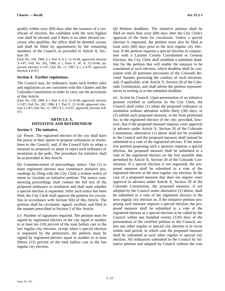qualify within sixty (60) days after the issuance of a certificate of election, the candidate with the next highest vote shall be elected, and if there is no other elected successor who qualifies, the office shall be deemed vacant, and shall be filled by appointment by the remaining members of the Council, as provided in Article II, Section 18.

(Ord. No. 199, 1986, § 1, Part A, § 3, 12-16-86, approved, election 3-3-87; Ord. No. 202, 1986, § 1, Parts V, W, X, 12-16-86, approved, election 3-3-87; Ord. No. 11, 1997, § 1, 2-4-97, approved, election 4-8-97)

#### **Section 4. Further regulations.**

The Council may, by ordinance, make such further rules and regulations as are consistent with this Charter and the Colorado Constitution in order to carry out the provisions of this Article.

(Ord. No. 199, 1986, § 1, Part A, § 4, 12-16-86, approved, election 3-3-87; Ord. No. 202, 1986, § 1, Part V, 12-16-86, approved, election 3-3-87; Ord. No. 11, 1997, § 1, 2-4-97, approved, election 4-8- 97)

# **ARTICLE X. INITIATIVE AND REFERENDUM**

#### **Section 1. The initiative.**

(a) Power. The registered electors of the city shall have the power at their option to propose ordinances or resolutions to the Council, and, if the Council fails to adopt a measure so proposed, to adopt or reject such ordinance or resolution at the polls. The procedure for initiative shall be as provided in this Article.

(b) Commencement of proceedings; notice. One (1) or more registered electors may commence initiative proceedings by filing with the City Clerk a written notice of intent to circulate an initiative petition. The notice commencing proceedings shall contain the full text of the proposed ordinance or resolution and shall state whether a special election is requested. After such notice has been filed, the City Clerk shall approve the petition for circulation in accordance with Section 5(b) of this Article. The petition shall be circulated, signed, verified, and filed in the manner prescribed in Section 5 of this Article.

(c) Number of signatures required. The petition must be signed by registered electors of the city equal in number to at least ten (10) percent of the total ballots cast in the last regular city election, except when a special election is requested by the petitioners, the petition must be signed by registered electors equal in number to at least fifteen (15) percent of the total ballots cast in the last regular city election.

(d) Petition deadlines. The initiative petition shall be filed no more than sixty (60) days after the City Clerk's approval of the form for circulation. Unless a special election is requested, the petition must also be filed at least sixty (60) days prior to the next regular city election. If the petition requests a special election in conjunction with a Larimer County Coordinated or General Election, the City Clerk shall establish a submittal deadline for the petition that will enable the measure to be considered at such election, which deadline shall be consistent with all pertinent provisions of the Colorado Revised Statutes governing the conduct of such elections, and, if applicable, with Article X, Section 20 of the Colorado Constitution, and shall advise the petition representatives in writing as to the submittal deadline.

(e) Action by Council. Upon presentation of an initiative petition certified as sufficient by the City Clerk, the Council shall either (1) adopt the proposed ordinance or resolution without alteration within thirty (30) days, or (2) submit such proposed measure, in the form petitioned for, to the registered electors of the city; provided, however, that if the proposed measure requires voter approval in advance under Article X, Section 20 of the Colorado Constitution, alternative (1) above shall not be available to the Council and the proposed measure shall instead be submitted to a vote of the registered electors. If the initiative petition proposing such a measure requests a special election, the proposed measure shall be submitted to a vote of the registered electors on the first possible date permitted by Article X, Section 20 of the Colorado Constitution. If a special election is not requested, the proposed measure shall be submitted to a vote of the registered electors at the next regular city election. In the case of a proposed measure that does not require voter approval in advance under Article X, Section 20 of the Colorado Constitution, the proposed measure, if not adopted by the Council under alternative (1) above, shall be submitted to a vote of the registered electors at the next regular city election or, if the initiative petition proposing such measure requests a special election, the proposed measure shall be submitted to a vote of the registered electors at a special election to be called by the Council within one hundred twenty (120) days of the presentation of the certified petition to the Council, unless any other regular or special city election is to occur within said period, in which case the proposed measure shall be submitted at such other regular or special city election. All ordinances submitted to the Council by initiative petition and adopted by Council without the vote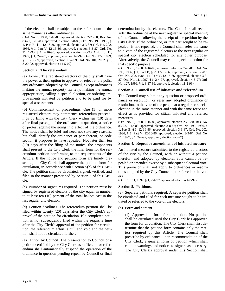of the electors shall be subject to the referendum in the same manner as other ordinances.

(Ord. No. 6, 1980, 1-16-80, approved, election 2-26-80; Res. No. 83-22, 1-18-83, approved, election 3-8-83; Ord. No. 199, 1986, § 1, Part B, § 1, 12-16-86, approved, election 3-3-87; Ord. No. 202, 1986, § 1, Part V, 12-16-86, approved, election 3-3-87; Ord. No. 21, 1993, § 1, 2-16-93, approved, election 4-6-93; Ord. No. 11, 1997, § 1, 2-4-97, approved, election 4-8-97; Ord. No. 127, 1999, § 1, 8-17-99, approved, election 11-2-99; Ord. No. 101, 2002, § 1, 8-20-02, approved, election 11-5-02)

# **Section 2. The referendum.**

(a) Power. The registered electors of the city shall have the power at their option to approve or reject at the polls, any ordinance adopted by the Council, except ordinances making the annual property tax levy, making the annual appropriation, calling a special election, or ordering improvements initiated by petition and to be paid for by special assessments.

(b) Commencement of proceedings. One (1) or more registered electors may commence referendum proceedings by filing with the City Clerk within ten (10) days after final passage of the ordinance in question, a notice of protest against the going into effect of the ordinance. The notice shall be brief and need not state any reasons, but shall identify the ordinance or part thereof, or code section it proposes to have repealed. Not later than ten (10) days after the filing of the notice, the proponents shall present to the City Clerk the final form for the referendum petition conforming to the requirements of the Article. If the notice and petition form are timely presented, the City Clerk shall approve the petition form for circulation, in accordance with Section 5(b) of this Article. The petition shall be circulated, signed, verified, and filed in the manner prescribed by Section 5 of this Article.

(c) Number of signatures required. The petition must be signed by registered electors of the city equal in number to at least ten (10) percent of the total ballots cast in the last regular city election.

(d) Petition deadlines. The referendum petition shall be filed within twenty (20) days after the City Clerk's approval of the petition for circulation. If a completed petition is not subsequently filed within the requisite time after the City Clerk's approval of the petition for circulation, the referendum effort is null and void and the petition shall not be circulated further.

(e) Action by Council. The presentation to Council of a petition certified by the City Clerk as sufficient for referendum shall automatically suspend the operation of the ordinance in question pending repeal by Council or final

determination by the electors. The Council shall reconsider the ordinance at the next regular or special meeting of the Council following the receipt of the petition by the City Clerk. If the ordinance, or that part sought to be repealed, is not repealed, the Council shall refer the same to a vote of the registered electors at the next regular or special city election scheduled for any other purpose. Alternatively, the Council may call a special election for that specific purpose.

(Ord. No. 6, 1980, 1-16-80, approved, election 2-26-80; Ord. No. 199, 1986, § 1, Part B, § 2, 12-16-86, approved, election 3-3-87; Ord. No. 202, 1986, § 1, Part V, 12-16-86, approved, election 3-3- 87; Ord. No. 11, 1997, § 1, 2-4-97, approved, election 4-8-97; Ord. No. 127, 1999, § 1, 8-17-99, approved, election 11-2-99)

# **Section 3. Council use of initiative and referendum.**

The Council may submit any question or proposed ordinance or resolution, or refer any adopted ordinance or resolution, to the vote of the people at a regular or special election in the same manner and with the same force and effect as is provided for citizen initiated and referred measures.

(Ord. No. 6, 1980, 1-16-80, approved, election 2-26-80; Res. No. 83-22, 1-18-83, approved, election 3-8-83; Ord. No. 199, 1986, § 1, Part B, § 3, 12-16-86, approved, election 3-3-87; Ord. No. 202, 1986, § 1, Part V, 12-16-86, approved, election 3-3-87; Ord. No. 11, 1997, § 1, 2-4-97, approved, election 4-8-97)

# **Section 4. Repeal or amendment of initiated measure.**

An initiated measure submitted to the registered electors of the city by the Council, with or without a petition therefor, and adopted by electoral vote cannot be repealed or amended except by a subsequent electoral vote. This provision shall not apply to ordinances or resolutions adopted by the City Council and referred to the voters.

(Ord. No. 11, 1997, § 1, 2-4-97, approved, election 4-8-97)

# **Section 5. Petitions.**

(a) Separate petitions required. A separate petition shall be circulated and filed for each measure sought to be initiated or referred to the vote of the electors.

(b) Form and content.

(1) Approval of form for circulation. No petition shall be circulated until the City Clerk has approved the form for circulation. The City Clerk shall first determine that the petition form contains only the matters required by this Article. The Council shall prescribe by ordinance, upon recommendation of the City Clerk, a general form of petition which shall contain warnings and notices to signers as necessary. The City Clerk's approval under this Section shall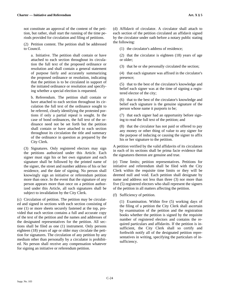not constitute an approval of the content of the petition, but rather, shall start the running of the time periods provided for circulation and filing of petitions.

(2) Petition content. The petition shall be addressed to Council.

a. Initiative. The petition shall contain or have attached to each section throughout its circulation the full text of the proposed ordinance or resolution and shall contain a general statement of purpose fairly and accurately summarizing the proposed ordinance or resolution, indicating that the petition is to be circulated in support of the initiated ordinance or resolution and specifying whether a special election is requested.

b. Referendum. The petition shall contain or have attached to each section throughout its circulation the full text of the ordinance sought to be referred, clearly identifying the protested portions if only a partial repeal is sought. In the case of bond ordinances, the full text of the ordinance need not be set forth but the petition shall contain or have attached to each section throughout its circulation the title and summary of the ordinance in question as prepared by the City Clerk.

(3) Signatures. Only registered electors may sign the petitions authorized under this Article. Each signer must sign his or her own signature and each signature shall be followed by the printed name of the signer, the street and number address of his or her residence, and the date of signing. No person shall knowingly sign an initiative or referendum petition more than once. In the event that the signature of any person appears more than once on a petition authorized under this Article, all such signatures shall be subject to invalidation by the City Clerk.

(c) Circulation of petition. The petition may be circulated and signed in sections with each section consisting of one (1) or more sheets securely fastened at the top, provided that each section contains a full and accurate copy of the text of the petition and the names and addresses of the designated representatives for the petition. All sections shall be filed as one (1) instrument. Only persons eighteen (18) years of age or older may circulate the petition for signatures. The circulation of any petition by any medium other than personally by a circulator is prohibited. No person shall receive any compensation whatever for signing an initiative or referendum petition.

(d) Affidavit of circulator. A circulator shall attach to each section of the petition circulated an affidavit signed by the circulator under oath before a notary public stating the following:

(1) the circulator's address of residence;

(2) that the circulator is eighteen (18) years of age or older;

(3) that he or she personally circulated the section;

(4) that each signature was affixed in the circulator's presence;

(5) that to the best of the circulator's knowledge and belief each signer was at the time of signing a registered elector of the city;

(6) that to the best of the circulator's knowledge and belief each signature is the genuine signature of the person whose name it purports to be;

(7) that each signer had an opportunity before signing to read the full text of the petition; and

(8) that the circulator has not paid or offered to pay any money or other thing of value to any signer for the purpose of inducing or causing the signer to affix his or her signature to the petition.

A petition verified by the valid affidavits of its circulators in each of its sections shall be prima facie evidence that the signatures thereon are genuine and true.

(e) Time limits; petition representatives. Petitions for initiative and referendum shall be filed with the City Clerk within the requisite time limits or they will be deemed null and void. Each petition shall designate by name and address not less than three (3) nor more than five (5) registered electors who shall represent the signers of the petition in all matters affecting the petition.

(f) Sufficiency of petition.

(1) Examination. Within five (5) working days of the filing of a petition the City Clerk shall ascertain by examination of the petition and the registration books whether the petition is signed by the requisite number of registered electors and contains the required particulars and affidavits. If the petition is insufficient, the City Clerk shall so certify and forthwith notify all of the designated petition representatives in writing, specifying the particulars of insufficiency.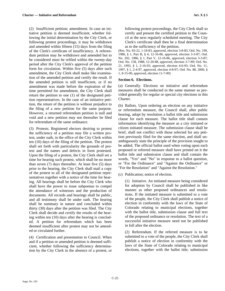(2) Insufficient petition; amendment. In case an initiative petition is deemed insufficient, whether following the initial determination by the City Clerk, or following protest proceedings, it may be withdrawn and amended within fifteen (15) days from the filing of the Clerk's certificate of insufficiency. A referendum petition may be withdrawn and amended but to be considered must be refiled within the twenty-day period after the City Clerk's approval of the petition form for circulation. Within five (5) days after such amendment, the City Clerk shall make like examination of the amended petition and certify the result. If the amended petition is still insufficient, or if no amendment was made before the expiration of the time permitted for amendment, the City Clerk shall return the petition to one (1) of the designated petition representatives. In the case of an initiative petition, the return of the petition is without prejudice to the filing of a new petition for the same purpose. However, a returned referendum petition is null and void and a new petition may not thereafter be filed for referendum of the same ordinance.

(3) Protests. Registered electors desiring to protest the sufficiency of a petition may file a written protest, under oath, in the office of the City Clerk within ten (10) days of the filing of the petition. The protest shall set forth with particularity the grounds of protest and the names and defects in form protested. Upon the filing of a protest, the City Clerk shall set a time for hearing such protest, which shall be no more than seven (7) days thereafter. At least five (5) days prior to the hearing, the City Clerk shall mail a copy of the protest to all of the designated petition representatives together with a notice of the time for hearing. All hearings shall be before the City Clerk who shall have the power to issue subpoenas to compel the attendance of witnesses and the production of documents. All records and hearings shall be public, and all testimony shall be under oath. The hearing shall be summary in nature and concluded within thirty (30) days after the petition was filed. The City Clerk shall decide and certify the results of the hearing within ten (10) days after the hearing is concluded. A petition for referendum which has been deemed insufficient after protest may not be amended or circulated further.

(4) Certification and presentation to Council. When and if a petition or amended petition is deemed sufficient, whether following the sufficiency determination by the City Clerk in the absence of a protest, or following protest proceedings, the City Clerk shall so certify and present the certified petition to the Council at the next regularly scheduled meeting. The City Clerk's certificate shall then be a final determination as to the sufficiency of the petition.

(Res. No. 83-22, 1-18-83, approved, election 3-8-83; Ord. No. 199, 1986, § 1, Part B, § 4, 12-16-86, approved, election 3-3-87; Ord. No. 202, 1986, § 1, Part V, 12-16-86, approved, election 3-3-87; Ord. No. 158, 1988, 12-20-88, approved, election 3-7-89; Ord. No. 21, 1993, § 1, 2-16-93, approved, election 4-6-93; Ord. No. 11, 1997, § 1, 2-4-97, approved, election 4-8-97; Ord. No. 88, 2000, § 1, 8-15-00, approved, election 11-7-00)

#### **Section 6. Elections.**

(a) Generally. Elections on initiative and referendum measures shall be conducted in the same manner as provided generally for regular or special city elections in this Charter.

(b) Ballots. Upon ordering an election on any initiative or referendum measure, the Council shall, after public hearing, adopt by resolution a ballot title and submission clause for each measure. The ballot title shall contain information identifying the measure as a city initiated or citizen initiated measure. The submission clause shall be brief, shall not conflict with those selected for any petition previously filed for the same election, and shall unambiguously state the principle of the provision sought to be added. The official ballot used when voting upon each proposed or referred measure shall have printed on it the ballot title and submission clause and shall contain the words, "Yes" and "No" in response to a ballot question, or "For the Ordinance" and "Against the Ordinance" or "For the Resolution" and "Against the Resolution."

(c) Publication; notice of election.

(1) Initiative. An initiated measure being considered for adoption by Council shall be published in like manner as other proposed ordinances and resolutions. If the initiated measure is submitted to a vote of the people, the City Clerk shall publish a notice of election in conformity with the laws of the State of Colorado relating to municipal elections, together with the ballot title, submission clause and full text of the proposed ordinance or resolution. The text of a successful initiative measure need not be published in full after the election.

(2) Referendum. If the referred measure is to be submitted to a vote of the people, the City Clerk shall publish a notice of election in conformity with the laws of the State of Colorado relating to municipal elections, together with the ballot title, submission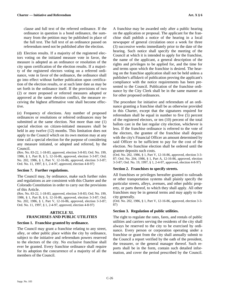clause and full text of the referred ordinance. If the ordinance in question is a bond ordinance, the summary from the petition may be published in place of the full text. The full text of an ordinance passed on referendum need not be published after the election.

(d) Election results. If a majority of the registered electors voting on the initiated measure vote in favor, the measure is adopted as an ordinance or resolution of the city upon certification of the election results. If a majority of the registered electors voting on a referred ordinance, vote in favor of the ordinance, the ordinance shall go into effect without further publication upon certification of the election results, or at such later date as may be set forth in the ordinance itself. If the provisions of two (2) or more proposed or referred measures adopted or approved at the same election conflict, the measure receiving the highest affirmative vote shall become effective.

(e) Frequency of elections. Any number of proposed ordinances or resolutions or referred ordinances may be submitted at the same election. Not more than one (1) special election on citizen-initiated measures shall be held in any twelve  $(12)$  months. This limitation does not apply to the Council which on its own motion may at any time call a special election for the purpose of considering any measure initiated, or adopted and referred, by the Council.

(Res. No. 83-22, 1-18-83, approved, election 3-8-83; Ord. No. 199, 1986, § 1, Part B, § 5, 12-16-86, approved, election 3-3-87; Ord. No. 202, 1986, § 1, Part V, 12-16-86, approved, election 3-3-87; Ord. No. 11, 1997, § 1, 2-4-97, approved, election 4-8-97)

#### **Section 7. Further regulations.**

The Council may, by ordinance, make such further rules and regulations as are consistent with this Charter and the Colorado Constitution in order to carry out the provisions of this Article.

(Res. No. 83-22, 1-18-83, approved, election 3-8-83; Ord. No. 199, 1986, § 1, Part B, § 6, 12-16-86, approved, election 3-3-87; Ord. No. 202, 1986, § 1, Part V, 12-16-86, approved, election 3-3-87; Ord. No. 11, 1997, § 1, 2-4-97, approved, election 4-8-97)

# **ARTICLE XI. FRANCHISES AND PUBLIC UTILITIES**

#### **Section 1. Franchise granted by ordinance.**

The Council may grant a franchise relating to any street, alley, or other public place within the city by ordinance, subject to the initiative and referendum powers reserved to the electors of the city. No exclusive franchise shall ever be granted. Every franchise ordinance shall require for its adoption the concurrence of a majority of all the members of the Council.

A franchise may be awarded only after a public hearing on the application or proposal. The applicant for the franchise shall publish a notice of the hearing in a local newspaper of general circulation once a week for three (3) successive weeks immediately prior to the date of the hearing. Such notice shall specify the meeting of the Council at which it is intended to apply for the franchise, the name of the applicant, a general description of the rights and privileges to be applied for, and the time for and terms upon which the franchise is desired. The hearing on the franchise application shall not be held unless a publisher's affidavit of publication proving the applicant's compliance with the notice requirements has been presented to the Council. Publication of the franchise ordinance by the City Clerk shall be in the same manner as for other proposed ordinances.

The procedure for initiative and referendum of an ordinance granting a franchise shall be as otherwise provided in this Charter, except that the signatures required for referendum shall be equal in number to five (5) percent of the registered electors, or ten (10) percent of the total ballots cast in the last regular city election, whichever is less. If the franchise ordinance is referred to the vote of the electors, the grantee of the franchise shall deposit with the city's Financial Officer an amount determined by said Officer to be sufficient to pay for the cost of the election. No franchise election shall be ordered until the grantee deposits such costs.

(Ord. No. 202, 1986, § 1, Part V, 12-16-86, approved, election 3-3- 87; Ord. No. 204, 1986, § 1, Part A, 12-16-86, approved, election 3-3-87; Ord. No. 19, 1997, § 1, 2-4-97, approved, election 4-8-97)

#### **Section 2. Franchises to specify streets.**

All franchises or privileges hereafter granted to railroads or other transportation systems shall plainly specify the particular streets, alleys, avenues, and other public property, or parts thereof, to which they shall apply. All other franchises may be in general terms and may apply to the city generally.

(Ord. No. 202, 1986, § 1, Part V, 12-16-86, approved, election 3-3- 87)

#### **Section 3. Regulation of public utilities.**

The right to regulate the rates, fares, and rentals of public utilities and carriers serving the residents of the city shall always be reserved to the city to be exercised by ordinance. Every person or corporation operating under a franchise or grant from the city shall annually submit to the Council a report verified by the oath of the president, the treasurer, or the general manager thereof. Such reports shall be in the form, contain such detailed information, and cover the period prescribed by the Council.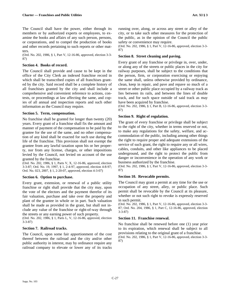The Council shall have the power, either through its members or by authorized experts or employees, to examine the books and affairs of any such person, persons, or corporations, and to compel the production of books and other records pertaining to such reports or other matters.

(Ord. No. 202, 1986, § 1, Part V, 12-16-86, approved, election 3-3- 87)

### **Section 4. Books of record.**

The Council shall provide and cause to be kept in the office of the City Clerk an indexed franchise record in which shall be transcribed copies of all franchises granted by the city. Said record shall be a complete history of all franchises granted by the city and shall include a comprehensive and convenient reference to actions, contests, or proceedings at law affecting the same, and copies of all annual and inspection reports and such other information as the Council may require.

# **Section 5. Term, compensation.**

No franchise shall be granted for longer than twenty (20) years. Every grant of a franchise shall fix the amount and manner of payment of the compensation to be paid by the grantee for the use of the same, and no other compensation of any kind shall be exacted for such use during the life of the franchise. This provision shall not exempt the grantee from any lawful taxation upon his or her property, nor from any license, charges, or other impositions levied by the Council, not levied on account of the use granted by the franchise.

(Ord. No. 202, 1986, § 1, Parts V, X, 12-16-86, approved, election 3-3-87; Ord. No. 19, 1997, § 1, 2-4-97, approved, election 4-8-97; Ord. No. 023, 2007, § 1, 2-20-07, approved, election 4-3-07)

# **Section 6. Option to purchase.**

Every grant, extension, or renewal of a public utility franchise or right shall provide that the city may, upon the vote of the electors and the payment therefor of its fair valuation, purchase and take over the property and plant of the grantee in whole or in part. Such valuation shall be made as provided in the grant, but shall not include any value of the franchise or right-of-way through the streets or any earning power of such property.

(Ord. No. 202, 1986, § 1, Parts L, V, 12-16-86, approved, election 3-3-87)

# **Section 7. Railroad tracks.**

The Council, upon some fair apportionment of the cost thereof between the railroad and the city and/or other public authority in interest, may by ordinance require any railroad company to elevate or lower any of its tracks

running over, along, or across any street or alley of the city, or to take such other measures for the protection of the public, as in the opinion of the Council the public safety or convenience may require.

(Ord. No. 202, 1986, § 1, Part V, 12-16-86, approved, election 3-3- 87)

# **Section 8. Street cleaning and paving.**

Every grant of any franchise or privilege in, over, under, or along any of the streets or public places in the city for railway purposes, shall be subject to the conditions that the person, firm, or corporation exercising or enjoying the same shall, unless otherwise provided by ordinance, clean, keep in repair, and pave and repave so much of a street or other public place occupied by a railway track as lies between its rails, and between the lines of double track, and for such space outside of said track as may have been acquired by franchise.

(Ord. No. 202, 1986, § 1, Part B, 12-16-86, approved, election 3-3- 87)

# **Section 9. Right of regulation.**

The grant of every franchise or privilege shall be subject to the right of the city, whether in terms reserved or not, to make any regulations for the safety, welfare, and accommodation of the public, including among other things the right to require proper and adequate extensions of the service of such grant, the right to require any or all wires, cables, conduits, and other like appliances to be placed underground, and the right to protect the public from danger or inconvenience in the operation of any work or business authorized by the franchise.

(Ord. No. 202, 1986, § 1, Part V, 12-16-86, approved, election 3-3- 87)

# **Section 10. Revocable permits.**

The Council may grant a permit at any time for the use or occupation of any street, alley, or public place. Such permit shall be revocable by the Council at its pleasure, whether or not such right to revoke is expressly reserved in such permit.

(Ord. No. 202, 1986, § 1, Part V, 12-16-86, approved, election 3-3- 87; Ord. No. 204, 1986, § 1, Part C, 12-16-86, approved, election 3-3-87)

#### **Section 11. Franchise renewal.**

No franchise shall be renewed before one (1) year prior to its expiration, which renewal shall be subject to all provisions relating to the original grant of a franchise.

(Ord. No. 202, 1986, § 1, Part V, 12-16-86, approved, election 3-3- 87)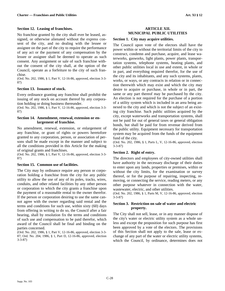# **Section 12. Leasing of franchises.**

No franchise granted by the city shall ever be leased, assigned, or otherwise alienated without the express consent of the city, and no dealing with the lessee or assignee on the part of the city to require the performance of any act or the payment of any compensation by the lessee or assignee shall be deemed to operate as such consent. Any assignment or sale of such franchise without the consent of the city shall, at the option of the Council, operate as a forfeiture to the city of such franchise.

(Ord. No. 202, 1986, § 1, Part V, 12-16-86, approved, election 3-3- 87)

# **Section 13. Issuance of stock.**

Every ordinance granting any franchise shall prohibit the issuing of any stock on account thereof by any corporation holding or doing business thereunder.

(Ord. No. 202, 1986, § 1, Part V, 12-16-86, approved, election 3-3- 87)

#### **Section 14. Amendment, renewal, extension or enlargement of franchise.**

No amendment, renewal, extension, or enlargement of any franchise, or grant of rights or powers heretofore granted to any corporation, person, or association of persons shall be made except in the manner and subject to all the conditions provided in this Article for the making of original grants and franchises.

(Ord. No. 202, 1986, § 1, Part V, 12-16-86, approved, election 3-3- 87)

#### **Section 15. Common use of facilities.**

The City may by ordinance require any person or corporation holding a franchise from the city for any public utility to allow the use of any of its poles, tracks, wires, conduits, and other related facilities by any other person or corporation to which the city grants a franchise upon the payment of a reasonable rental to the owner therefor. If the person or corporation desiring to use the same cannot agree with the owner regarding said rental and the terms and conditions for such use, within sixty (60) days from offering in writing to do so, the Council after a fair hearing, shall by resolution fix the terms and conditions of such use and compensation to be paid therefor, which award of the Council shall be final and binding on the parties concerned.

(Ord. No. 202, 1986, § 1, Part V, 12-16-86, approved, election 3-3- 87; Ord. No. 204, 1986, § 1, Part D, 12-16-86, approved, election 3-3-87)

# **ARTICLE XII. MUNICIPAL PUBLIC UTILITIES**

#### **Section 1. City may acquire utilities.**

The Council upon vote of the electors shall have the power within or without the territorial limits of the city to construct, condemn and purchase, acquire, and lease waterworks, gasworks, light plants, power plants, transportation systems, telephone systems, heating plants, and other public utilities local in use and extent, in whole or in part, and everything required therefor, for the use of the city and its inhabitants, and any such systems, plants, works, or ways, or any contracts in relation or in connection therewith which may exist and which the city may desire to acquire or purchase, in whole or in part, the same or any part thereof may be purchased by the city. An election is not required for the purchase of a portion of a utility system which is included in an area being annexed to the city and which is not the subject of an existing city franchise. Such public utilities acquired by the city, except waterworks and transportation systems, shall not be paid for out of general taxes or general obligation bonds, but shall be paid for from revenue derived from the public utility. Equipment necessary for transportation system may be acquired from the funds of the equipment fund of the city.

(Ord. No. 202, 1986, § 1, Parts L, V, 12-16-86, approved, election 3-3-87)

#### **Section 2. Right of entry.**

The directors and employees of city-owned utilities shall have authority in the necessary discharge of their duties to enter upon any lands, properties or premises, within or without the city limits, for the examination or survey thereof, or for the purpose of repairing, inspecting, removing, or connecting the service, reading meters, or any other purpose whatever in connection with the water, wastewater, electric, and other utilities.

(Ord. No. 202, 1986, § 1, Parts M, V, 12-16-86, approved, election 3-3-87)

#### **Section 3. Restriction on sale of water and electric property.**

The City shall not sell, lease, or in any manner dispose of the city's water or electric utility system as a whole unless and except the proposition for such purpose has first been approved by a vote of the electors. The provisions of this Section shall not apply to the sale, lease or exchange of any part of the water or electric utility systems, which the Council, by ordinance, determines does not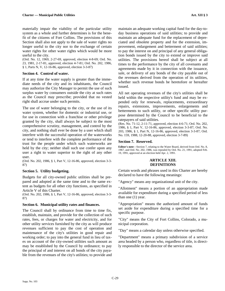materially impair the viability of the particular utility system as a whole and further determines is for the benefit of the citizens of Fort Collins. The provisions of this Section shall also not apply to the sale of water rights no longer useful to the city nor to the exchange of certain water rights for other water rights which would be more useful to the city.

(Ord. No. 12, 1969, 2-27-69, approved, election 4-8-69; Ord. No. 23, 1981, 2-17-81, approved, election 4-7-81; Ord. No. 202, 1986, § 1, Parts N, V, 12-16-86, approved, election 3-3-87)

# **Section 4. Control of water.**

If at any time the water supply is greater than the immediate needs of the city and its inhabitants, the Council may authorize the City Manager to permit the use of such surplus water by consumers outside the city at such rates as the Council may prescribe; provided that no vested right shall accrue under such permits.

The use of water belonging to the city, or the use of its water system, whether for domestic or industrial use, or for use in connection with a franchise or other privilege granted by the city, shall always be subject to the most comprehensive scrutiny, management, and control by the city, and nothing shall ever be done by a user which shall interfere with the successful operation of the waterworks or tend to interfere with the complete performance of the trust for the people under which such waterworks are held by the city; neither shall such use confer upon any user a right to water superior to the right of any other user.

(Ord. No. 202, 1986, § 1, Part V, 12-16-86, approved, election 3-3- 87)

# **Section 5. Utility budgeting.**

Budgets for all city-owned public utilities shall be prepared and adopted at the same time and to the same extent as budgets for all other city functions, as specified in Article V of this Charter.

(Ord. No. 202, 1986, § 1, Part V, 12-16-86, approved, election 3-3- 87)

#### **Section 6. Municipal utility rates and finances.**

The Council shall by ordinance from time to time fix, establish, maintain, and provide for the collection of such rates, fees, or charges for water and electricity, and for other utility services furnished by the city as will produce revenues sufficient to pay the cost of operation and maintenance of the city's utilities in good repair and working order; to pay into the general fund in lieu of taxes on account of the city-owned utilities such amount as may be established by the Council by ordinance; to pay the principal of and interest on all bonds of the city payable from the revenues of the city's utilities; to provide and

maintain an adequate working capital fund for the day-today business operations of said utilities; to provide and maintain an adequate fund for the replacement of depreciated and obsolete property and for the extension, improvement, enlargement and betterment of said utilities; to pay the interest on and principal of any general obligation bonds issued by the city to extend or improve said utilities. The provisions hereof shall be subject at all times to the performance by the city of all covenants and agreements made by it in connection with the issuance, sale, or delivery of any bonds of the city payable out of the revenues derived from the operation of its utilities, whether such revenue bonds be heretofore or hereafter issued.

All net operating revenues of the city's utilities shall be held within the respective utility's fund and may be expended only for renewals, replacements, extraordinary repairs, extensions, improvements, enlargements and betterments to such utility, or other specific utility purpose determined by the Council to be beneficial to the ratepayers of said utilities.

(Res. No. 71-12, 2-11-71, approved, election 4-6-71; Ord. No. 202, 1986, § 1, Part V, 12-16-86, approved, election 3-3-87; Ord. No. 203, 1986, § 1, Part N, 12-16-86, approved, election 3-3-87; Ord. No. 159, 1988, 12-20-88, approved, election 3-7-89)

# **Section 7. Reserved.**

**Editor's note**—Section 7, relating to the Water Board, derived from Ord. No. 8, 1967, and Ord. No. 202, 1986, was repealed by Ord. No. 21, 1991, adopted Feb. 19, 1991, approved at an election held Apr. 2, 1991.

#### **ARTICLE XIII. DEFINITIONS**

Certain words and phrases used in this Charter are hereby declared to have the following meanings:

"Agency" means any organizational unit of the city.

"Allotment" means a portion of an appropriation made available for expenditure during a specified period of less than one (1) year.

"Appropriation" means the authorized amount of funds set aside for expenditure during a specified time for a specific purpose.

"City" means the City of Fort Collins, Colorado, a municipal corporation.

"Day" means a calendar day unless otherwise specified.

"Department" means a primary subdivision of a service area headed by a person who, regardless of title, is directly responsible to the director of the service area.